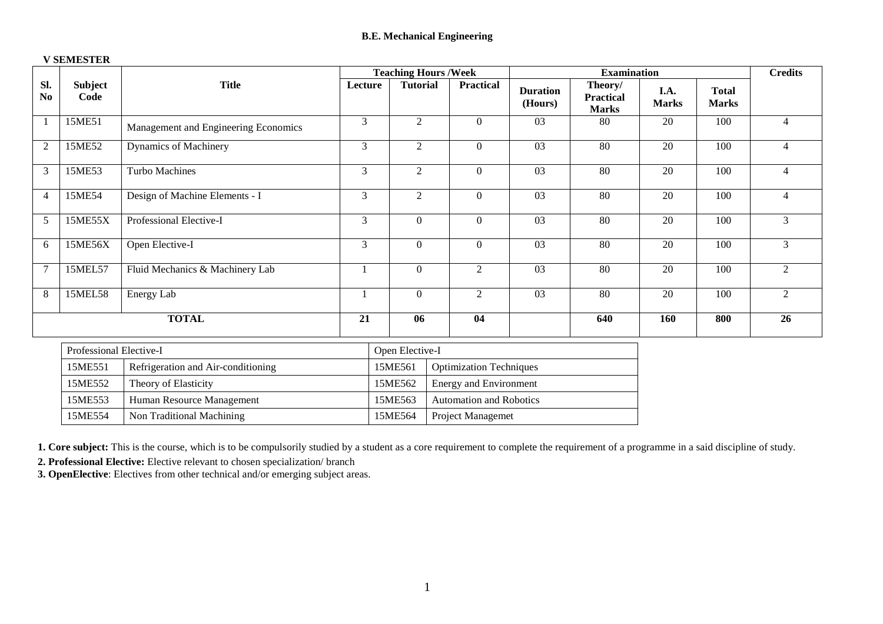|                |                         |                                      | <b>Teaching Hours /Week</b> |                  |                                |                            |                                             | <b>Examination</b>   |                              |                |  |
|----------------|-------------------------|--------------------------------------|-----------------------------|------------------|--------------------------------|----------------------------|---------------------------------------------|----------------------|------------------------------|----------------|--|
| Sl.<br>No      | <b>Subject</b><br>Code  | <b>Title</b>                         | Lecture                     | <b>Tutorial</b>  | <b>Practical</b>               | <b>Duration</b><br>(Hours) | Theory/<br><b>Practical</b><br><b>Marks</b> | I.A.<br><b>Marks</b> | <b>Total</b><br><b>Marks</b> |                |  |
| -1             | 15ME51                  | Management and Engineering Economics | 3                           | 2                | $\theta$                       | 03                         | 80                                          | 20                   | 100                          | $\overline{4}$ |  |
| 2              | 15ME52                  | Dynamics of Machinery                | 3                           | 2                | $\boldsymbol{0}$               | 03                         | 80                                          | 20                   | 100                          | $\overline{4}$ |  |
| 3              | 15ME53                  | <b>Turbo Machines</b>                | 3                           | 2                | $\boldsymbol{0}$               | 03                         | 80                                          | 20                   | 100                          | $\overline{4}$ |  |
| $\overline{4}$ | 15ME54                  | Design of Machine Elements - I       | 3                           | 2                | $\boldsymbol{0}$               | $\overline{03}$            | 80                                          | $\overline{20}$      | 100                          | $\overline{4}$ |  |
| $\overline{5}$ | 15ME55X                 | Professional Elective-I              | $\overline{3}$              | $\boldsymbol{0}$ | $\mathbf{0}$                   | 03                         | 80                                          | 20                   | 100                          | $\mathfrak{Z}$ |  |
| 6              | 15ME56X                 | Open Elective-I                      | $\mathfrak{Z}$              | $\boldsymbol{0}$ | $\boldsymbol{0}$               | 03                         | 80                                          | 20                   | 100                          | $\overline{3}$ |  |
| $\overline{7}$ | 15MEL57                 | Fluid Mechanics & Machinery Lab      | 1                           | $\theta$         | 2                              | 03                         | 80                                          | 20                   | 100                          | $\overline{2}$ |  |
| 8              | 15MEL58                 | Energy Lab                           | $\mathbf{1}$                | $\boldsymbol{0}$ | $\overline{2}$                 | 03                         | 80                                          | 20                   | 100                          | $\overline{2}$ |  |
|                |                         | <b>TOTAL</b>                         | 21                          | 06               | 04                             |                            | 640                                         | 160                  | 800                          | 26             |  |
|                | Professional Elective-I |                                      |                             | Open Elective-I  |                                |                            |                                             |                      |                              |                |  |
|                | 15ME551                 | Refrigeration and Air-conditioning   |                             | 15ME561          | <b>Optimization Techniques</b> |                            |                                             |                      |                              |                |  |
|                | 15ME552                 | Theory of Elasticity                 |                             | 15ME562          | <b>Energy and Environment</b>  |                            |                                             |                      |                              |                |  |
|                | 15ME553                 | Human Resource Management            |                             | 15ME563          | <b>Automation and Robotics</b> |                            |                                             |                      |                              |                |  |
|                | 15ME554                 | Non Traditional Machining            |                             | 15ME564          | Project Managemet              |                            |                                             |                      |                              |                |  |

#### **V SEMESTER**

**1. Core subject:** This is the course, which is to be compulsorily studied by a student as a core requirement to complete the requirement of a programme in a said discipline of study.

**2. Professional Elective:** Elective relevant to chosen specialization/ branch

**3. OpenElective**: Electives from other technical and/or emerging subject areas.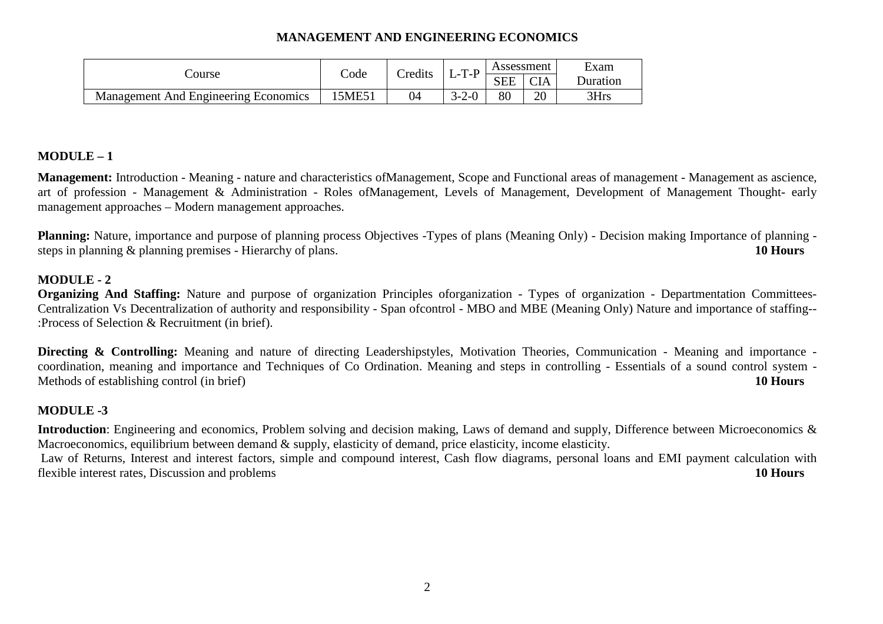# **MANAGEMENT AND ENGINEERING ECONOMICS**

|                                      | Code   | Credits | m<br>ل – با<br>- 1 | Assessment |            | Exam     |  |
|--------------------------------------|--------|---------|--------------------|------------|------------|----------|--|
| Course                               |        |         |                    | <b>SEE</b> | <b>CIA</b> | Duration |  |
| Management And Engineering Economics | 15ME51 | 04      | 2.2.0<br>ユームー しこ   | 80         | 20         | 3Hrs     |  |

# **MODULE – 1**

**Management:** Introduction - Meaning - nature and characteristics ofManagement, Scope and Functional areas of management - Management as ascience, art of profession - Management & Administration - Roles ofManagement, Levels of Management, Development of Management Thought- early management approaches – Modern management approaches.

**Planning:** Nature, importance and purpose of planning process Objectives -Types of plans (Meaning Only) - Decision making Importance of planning steps in planning & planning premises - Hierarchy of plans. **10 Hours** 

### **MODULE - 2**

 **Organizing And Staffing:** Nature and purpose of organization Principles oforganization - Types of organization - Departmentation Committees-Centralization Vs Decentralization of authority and responsibility - Span ofcontrol - MBO and MBE (Meaning Only) Nature and importance of staffing--:Process of Selection & Recruitment (in brief).

**Directing & Controlling:** Meaning and nature of directing Leadershipstyles, Motivation Theories, Communication - Meaning and importance coordination, meaning and importance and Techniques of Co Ordination. Meaning and steps in controlling - Essentials of a sound control system -Methods of establishing control (in brief) **10 Hours** 

#### **MODULE -3**

**Introduction**: Engineering and economics, Problem solving and decision making, Laws of demand and supply, Difference between Microeconomics & Macroeconomics, equilibrium between demand & supply, elasticity of demand, price elasticity, income elasticity. Law of Returns, Interest and interest factors, simple and compound interest, Cash flow diagrams, personal loans and EMI payment calculation with flexible interest rates, Discussion and problems **10 Hours**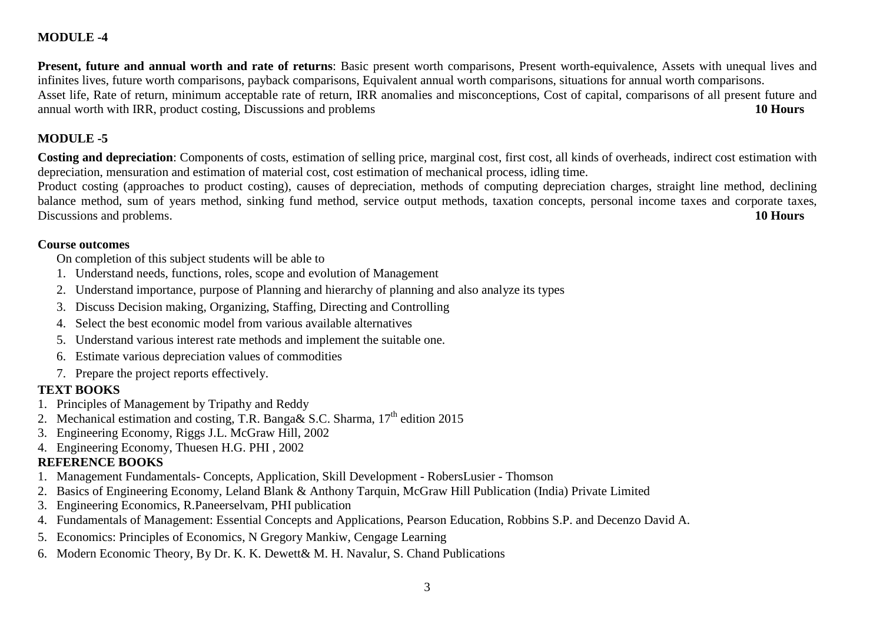# **MODULE -4**

**Present, future and annual worth and rate of returns**: Basic present worth comparisons, Present worth-equivalence, Assets with unequal lives and infinites lives, future worth comparisons, payback comparisons, Equivalent annual worth comparisons, situations for annual worth comparisons. Asset life, Rate of return, minimum acceptable rate of return, IRR anomalies and misconceptions, Cost of capital, comparisons of all present future and annual worth with IRR, product costing, Discussions and problems **10 Hours**

# **MODULE -5**

**Costing and depreciation**: Components of costs, estimation of selling price, marginal cost, first cost, all kinds of overheads, indirect cost estimation with depreciation, mensuration and estimation of material cost, cost estimation of mechanical process, idling time.

 Product costing (approaches to product costing), causes of depreciation, methods of computing depreciation charges, straight line method, declining balance method, sum of years method, sinking fund method, service output methods, taxation concepts, personal income taxes and corporate taxes, Discussions and problems. **10 Hours** 

#### **Course outcomes**

On completion of this subject students will be able to

- 1. Understand needs, functions, roles, scope and evolution of Management
- 2. Understand importance, purpose of Planning and hierarchy of planning and also analyze its types
- 3. Discuss Decision making, Organizing, Staffing, Directing and Controlling
- 4. Select the best economic model from various available alternatives
- 5. Understand various interest rate methods and implement the suitable one.
- 6. Estimate various depreciation values of commodities
- 7. Prepare the project reports effectively.

# **TEXT BOOKS**

- 1. Principles of Management by Tripathy and Reddy
- 2. Mechanical estimation and costing, T.R. Banga & S.C. Sharma,  $17<sup>th</sup>$  edition 2015
- 3. Engineering Economy, Riggs J.L. McGraw Hill, 2002
- 4. Engineering Economy, Thuesen H.G. PHI , 2002

# **REFERENCE BOOKS**

- 1. Management Fundamentals- Concepts, Application, Skill Development RobersLusier Thomson
- 2. Basics of Engineering Economy, Leland Blank & Anthony Tarquin, McGraw Hill Publication (India) Private Limited
- 3.Engineering Economics, R.Paneerselvam, PHI publication
- 4. Fundamentals of Management: Essential Concepts and Applications, Pearson Education, Robbins S.P. and Decenzo David A.
- 5. Economics: Principles of Economics, N Gregory Mankiw, Cengage Learning
- 6. Modern Economic Theory, By Dr. K. K. Dewett& M. H. Navalur, S. Chand Publications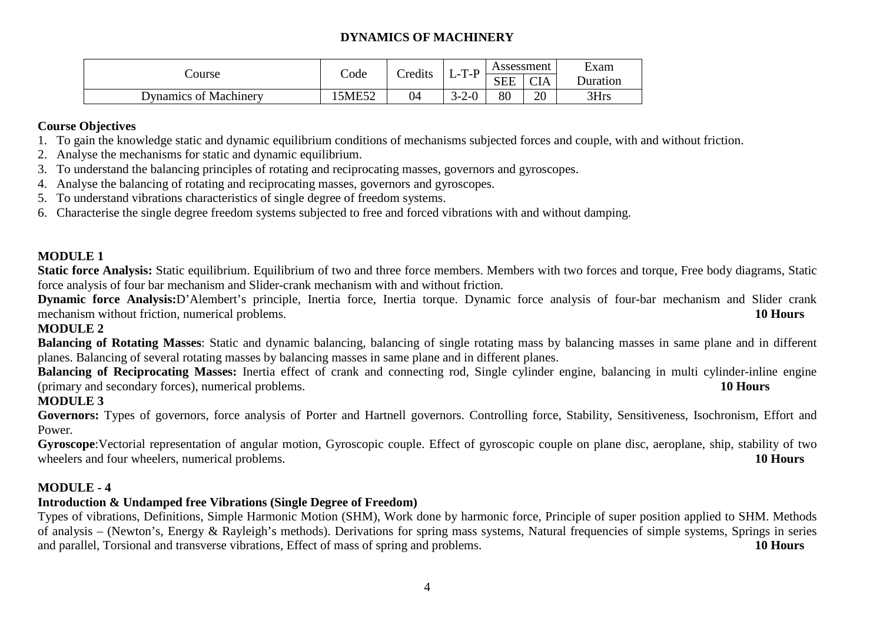# **DYNAMICS OF MACHINERY**

|                              | Code   | Credits | $T-P$<br>⊥− | Assessment |            | Exam            |  |
|------------------------------|--------|---------|-------------|------------|------------|-----------------|--|
| Course                       |        |         |             | <b>SEE</b> | <b>CIA</b> | <b>Duration</b> |  |
| <b>Dynamics of Machinery</b> | 15ME52 | 04      | $3 - 2 - 0$ | 80         | 20         | 3Hrs            |  |

#### **Course Objectives**

- 1. To gain the knowledge static and dynamic equilibrium conditions of mechanisms subjected forces and couple, with and without friction.
- 2. Analyse the mechanisms for static and dynamic equilibrium.
- 3. To understand the balancing principles of rotating and reciprocating masses, governors and gyroscopes.
- 4. Analyse the balancing of rotating and reciprocating masses, governors and gyroscopes.
- 5. To understand vibrations characteristics of single degree of freedom systems.
- 6. Characterise the single degree freedom systems subjected to free and forced vibrations with and without damping.

### **MODULE 1**

**Static force Analysis:** Static equilibrium. Equilibrium of two and three force members. Members with two forces and torque, Free body diagrams, Static force analysis of four bar mechanism and Slider-crank mechanism with and without friction.

 **Dynamic force Analysis:**D'Alembert's principle, Inertia force, Inertia torque. Dynamic force analysis of four-bar mechanism and Slider crank mechanism without friction, numerical problems. **10 Hours** 

# **MODULE 2**

**Balancing of Rotating Masses**: Static and dynamic balancing, balancing of single rotating mass by balancing masses in same plane and in different planes. Balancing of several rotating masses by balancing masses in same plane and in different planes.

 **Balancing of Reciprocating Masses:** Inertia effect of crank and connecting rod, Single cylinder engine, balancing in multi cylinder-inline engine (primary and secondary forces), numerical problems. **10 Hours**

# **MODULE 3**

Governors: Types of governors, force analysis of Porter and Hartnell governors. Controlling force, Stability, Sensitiveness, Isochronism, Effort and Power.

 **Gyroscope**:Vectorial representation of angular motion, Gyroscopic couple. Effect of gyroscopic couple on plane disc, aeroplane, ship, stability of two wheelers and four wheelers, numerical problems. **10 Hours 10 Hours** 

# **MODULE - 4**

# **Introduction & Undamped free Vibrations (Single Degree of Freedom)**

 Types of vibrations, Definitions, Simple Harmonic Motion (SHM), Work done by harmonic force, Principle of super position applied to SHM. Methods of analysis – (Newton's, Energy & Rayleigh's methods). Derivations for spring mass systems, Natural frequencies of simple systems, Springs in series and parallel, Torsional and transverse vibrations, Effect of mass of spring and problems. **10 Hours**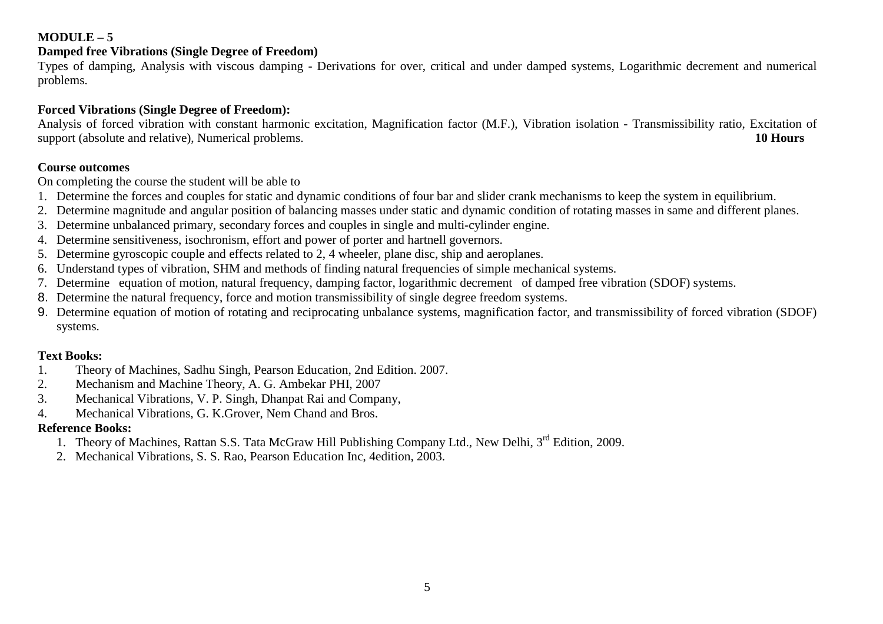### **MODULE – 5**

# **Damped free Vibrations (Single Degree of Freedom)**

 Types of damping, Analysis with viscous damping - Derivations for over, critical and under damped systems, Logarithmic decrement and numerical problems.

# **Forced Vibrations (Single Degree of Freedom):**

 Analysis of forced vibration with constant harmonic excitation, Magnification factor (M.F.), Vibration isolation - Transmissibility ratio, Excitation of support (absolute and relative), Numerical problems. **10 Hours** 

### **Course outcomes**

On completing the course the student will be able to

- 1. Determine the forces and couples for static and dynamic conditions of four bar and slider crank mechanisms to keep the system in equilibrium.
- 2. Determine magnitude and angular position of balancing masses under static and dynamic condition of rotating masses in same and different planes.
- 3. Determine unbalanced primary, secondary forces and couples in single and multi-cylinder engine.
- 4. Determine sensitiveness, isochronism, effort and power of porter and hartnell governors.
- 5. Determine gyroscopic couple and effects related to 2, 4 wheeler, plane disc, ship and aeroplanes.
- 6. Understand types of vibration, SHM and methods of finding natural frequencies of simple mechanical systems.
- 7. Determine equation of motion, natural frequency, damping factor, logarithmic decrement of damped free vibration (SDOF) systems.
- 8. Determine the natural frequency, force and motion transmissibility of single degree freedom systems.
- 9. Determine equation of motion of rotating and reciprocating unbalance systems, magnification factor, and transmissibility of forced vibration (SDOF) systems.

# **Text Books:**

- Theory of Machines, Sadhu Singh, Pearson Education, 2nd Edition. 2007. 1.
- 2.Mechanism and Machine Theory, A. G. Ambekar PHI, 2007
- 3.Mechanical Vibrations, V. P. Singh, Dhanpat Rai and Company,
- 4.Mechanical Vibrations, G. K.Grover, Nem Chand and Bros.

# **Reference Books:**

- 1. Theory of Machines, Rattan S.S. Tata McGraw Hill Publishing Company Ltd., New Delhi, 3<sup>rd</sup> Edition, 2009.
- 2. Mechanical Vibrations, S. S. Rao, Pearson Education Inc, 4edition, 2003.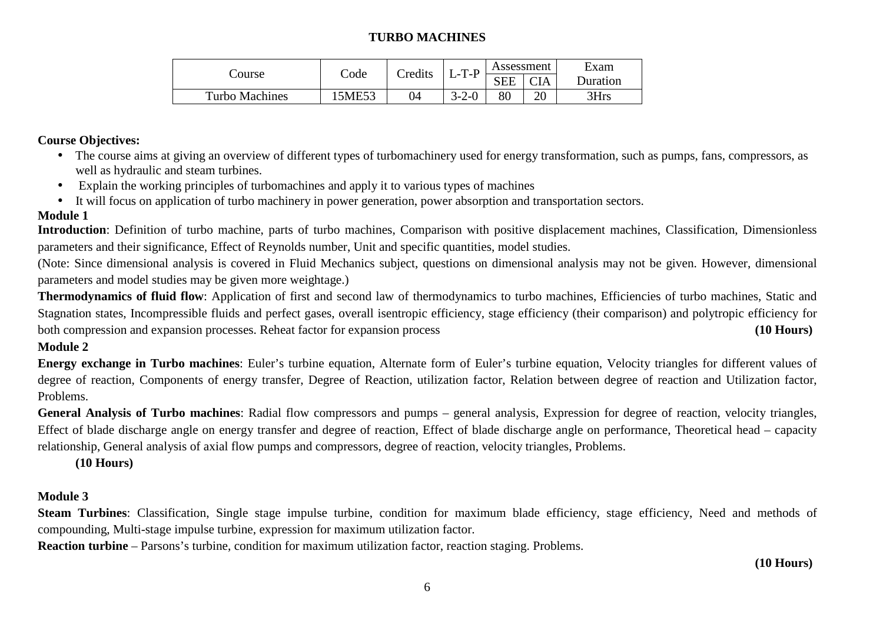# **TURBO MACHINES**

|                       | Code  | Credits | $L-T-P$     | Assessment |     | Exam     |  |
|-----------------------|-------|---------|-------------|------------|-----|----------|--|
| Course                |       |         |             | <b>SEE</b> | CIA | Duration |  |
| <b>Turbo Machines</b> | 5ME53 | 04      | $3 - 2 - 0$ | 80         | ററ  | 3Hrs     |  |

#### **Course Objectives:**

- The course aims at giving an overview of different types of turbomachinery used for energy transformation, such as pumps, fans, compressors, as well as hydraulic and steam turbines.
- Explain the working principles of turbomachines and apply it to various types of machines
- It will focus on application of turbo machinery in power generation, power absorption and transportation sectors.

# **Module 1**

 **Introduction**: Definition of turbo machine, parts of turbo machines, Comparison with positive displacement machines, Classification, Dimensionless parameters and their significance, Effect of Reynolds number, Unit and specific quantities, model studies.

(Note: Since dimensional analysis is covered in Fluid Mechanics subject, questions on dimensional analysis may not be given. However, dimensional parameters and model studies may be given more weightage.)

**Thermodynamics of fluid flow**: Application of first and second law of thermodynamics to turbo machines, Efficiencies of turbo machines, Static and Stagnation states, Incompressible fluids and perfect gases, overall isentropic efficiency, stage efficiency (their comparison) and polytropic efficiency for both compression and expansion processes. Reheat factor for expansion process **(10 Hours) (10 Hours)** 

# **Module 2**

**Energy exchange in Turbo machines**: Euler's turbine equation, Alternate form of Euler's turbine equation, Velocity triangles for different values of degree of reaction, Components of energy transfer, Degree of Reaction, utilization factor, Relation between degree of reaction and Utilization factor, Problems.

**General Analysis of Turbo machines**: Radial flow compressors and pumps – general analysis, Expression for degree of reaction, velocity triangles, Effect of blade discharge angle on energy transfer and degree of reaction, Effect of blade discharge angle on performance, Theoretical head – capacity relationship, General analysis of axial flow pumps and compressors, degree of reaction, velocity triangles, Problems.

**(10 Hours)** 

# **Module 3**

Steam Turbines: Classification, Single stage impulse turbine, condition for maximum blade efficiency, stage efficiency, Need and methods of compounding, Multi-stage impulse turbine, expression for maximum utilization factor.

**Reaction turbine** – Parsons's turbine, condition for maximum utilization factor, reaction staging. Problems.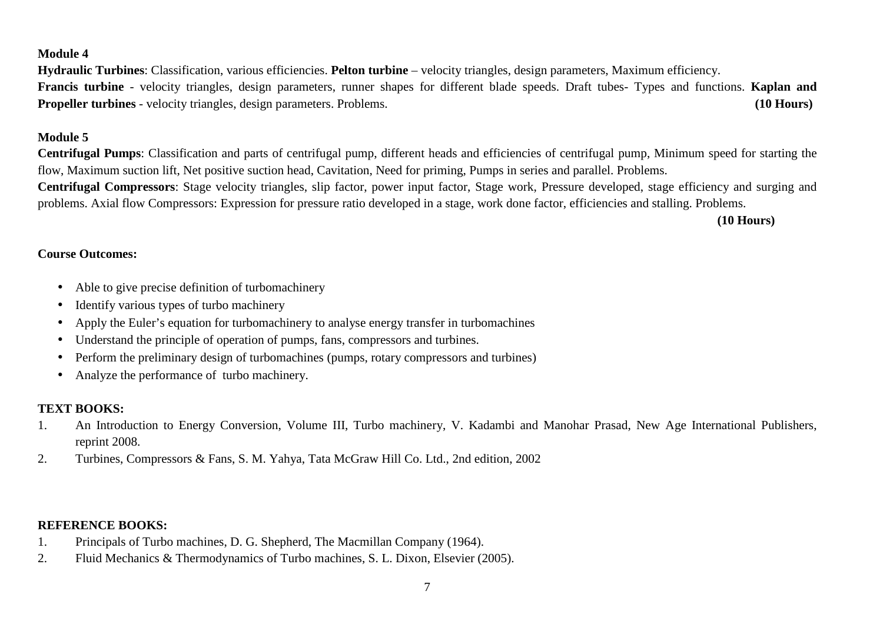#### **Module 4**

**Hydraulic Turbines**: Classification, various efficiencies. **Pelton turbine** – velocity triangles, design parameters, Maximum efficiency. **Francis turbine** - velocity triangles, design parameters, runner shapes for different blade speeds. Draft tubes- Types and functions. **Kaplan and Propeller turbines** - velocity triangles, design parameters. Problems.**(10 Hours)** 

#### **Module 5**

**Centrifugal Pumps**: Classification and parts of centrifugal pump, different heads and efficiencies of centrifugal pump, Minimum speed for starting the flow, Maximum suction lift, Net positive suction head, Cavitation, Need for priming, Pumps in series and parallel. Problems. **Centrifugal Compressors**: Stage velocity triangles, slip factor, power input factor, Stage work, Pressure developed, stage efficiency and surging and

problems. Axial flow Compressors: Expression for pressure ratio developed in a stage, work done factor, efficiencies and stalling. Problems.

**(10 Hours)** 

## **Course Outcomes:**

- Able to give precise definition of turbomachinery
- Identify various types of turbo machinery
- Apply the Euler's equation for turbomachinery to analyse energy transfer in turbomachines •
- •Understand the principle of operation of pumps, fans, compressors and turbines.
- •Perform the preliminary design of turbomachines (pumps, rotary compressors and turbines)
- $\bullet$ Analyze the performance of turbo machinery.

# **TEXT BOOKS:**

- 1. An Introduction to Energy Conversion, Volume III, Turbo machinery, V. Kadambi and Manohar Prasad, New Age International Publishers, reprint 2008.
- 2. Turbines, Compressors & Fans, S. M. Yahya, Tata McGraw Hill Co. Ltd., 2nd edition, 2002

# **REFERENCE BOOKS:**

- 1. Principals of Turbo machines, D. G. Shepherd, The Macmillan Company (1964).
- 2. Fluid Mechanics & Thermodynamics of Turbo machines, S. L. Dixon, Elsevier (2005).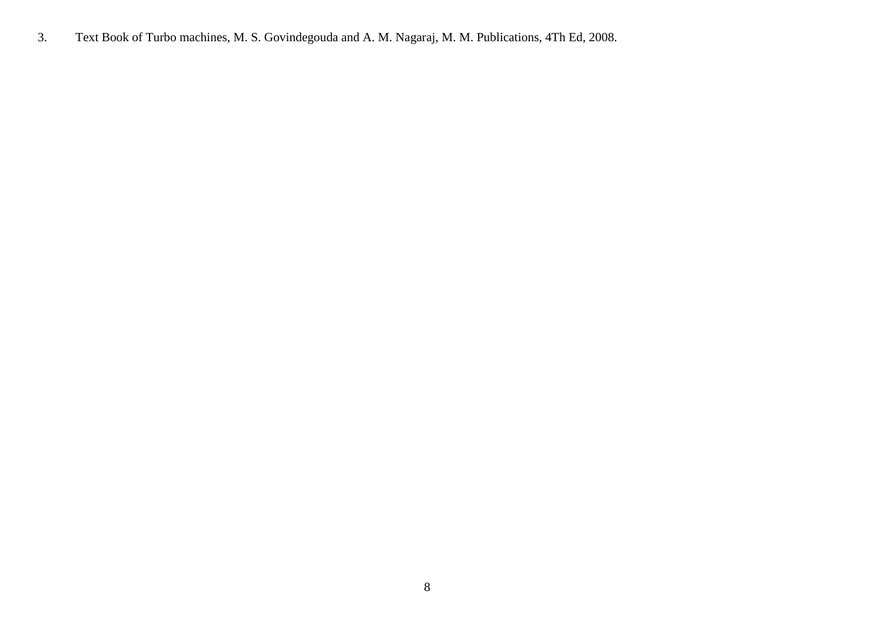3. Text Book of Turbo machines, M. S. Govindegouda and A. M. Nagaraj, M. M. Publications, 4Th Ed, 2008.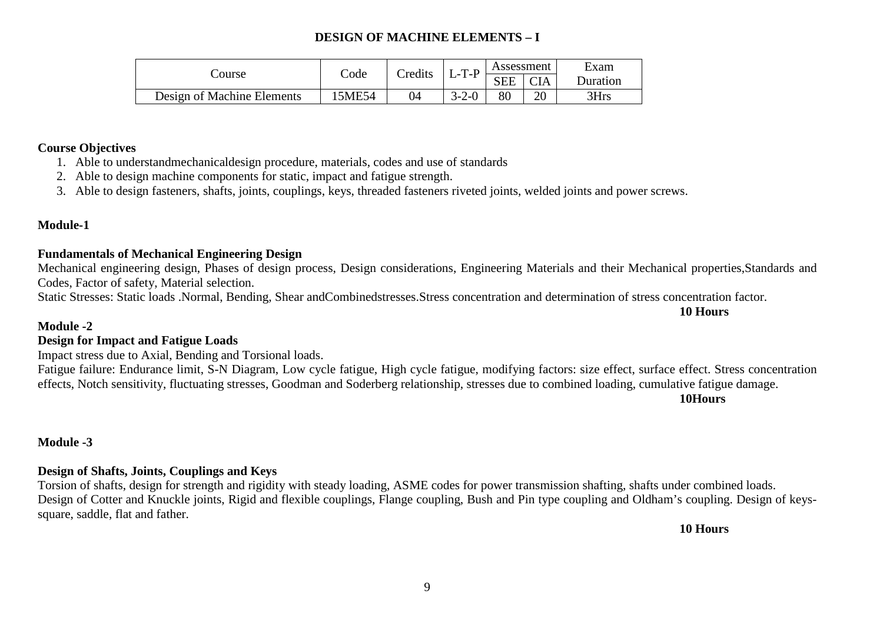# **DESIGN OF MACHINE ELEMENTS – I**

|                            | Code  | Credits | T D         | Assessment |            | Exam            |  |
|----------------------------|-------|---------|-------------|------------|------------|-----------------|--|
| Course                     |       |         |             | <b>SEE</b> | <b>CIA</b> | <b>Duration</b> |  |
| Design of Machine Elements | 5ME54 | 04      | $3 - 2 - 0$ | 80         | 20         | 3Hrs            |  |

#### **Course Objectives**

- 1. Able to understandmechanicaldesign procedure, materials, codes and use of standards
- 2. Able to design machine components for static, impact and fatigue strength.
- 3. Able to design fasteners, shafts, joints, couplings, keys, threaded fasteners riveted joints, welded joints and power screws.

#### **Module-1**

#### **Fundamentals of Mechanical Engineering Design**

 Mechanical engineering design, Phases of design process, Design considerations, Engineering Materials and their Mechanical properties,Standards and Codes, Factor of safety, Material selection.

Static Stresses: Static loads .Normal, Bending, Shear andCombinedstresses.Stress concentration and determination of stress concentration factor.

#### **Module -2**

#### **Design for Impact and Fatigue Loads**

Impact stress due to Axial, Bending and Torsional loads.

Fatigue failure: Endurance limit, S-N Diagram, Low cycle fatigue, High cycle fatigue, modifying factors: size effect, surface effect. Stress concentration effects, Notch sensitivity, fluctuating stresses, Goodman and Soderberg relationship, stresses due to combined loading, cumulative fatigue damage.

**10Hours**

**10 Hours** 

#### **Module -3**

#### **Design of Shafts, Joints, Couplings and Keys**

 Torsion of shafts, design for strength and rigidity with steady loading, ASME codes for power transmission shafting, shafts under combined loads. Design of Cotter and Knuckle joints, Rigid and flexible couplings, Flange coupling, Bush and Pin type coupling and Oldham's coupling. Design of keyssquare, saddle, flat and father.

**10 Hours**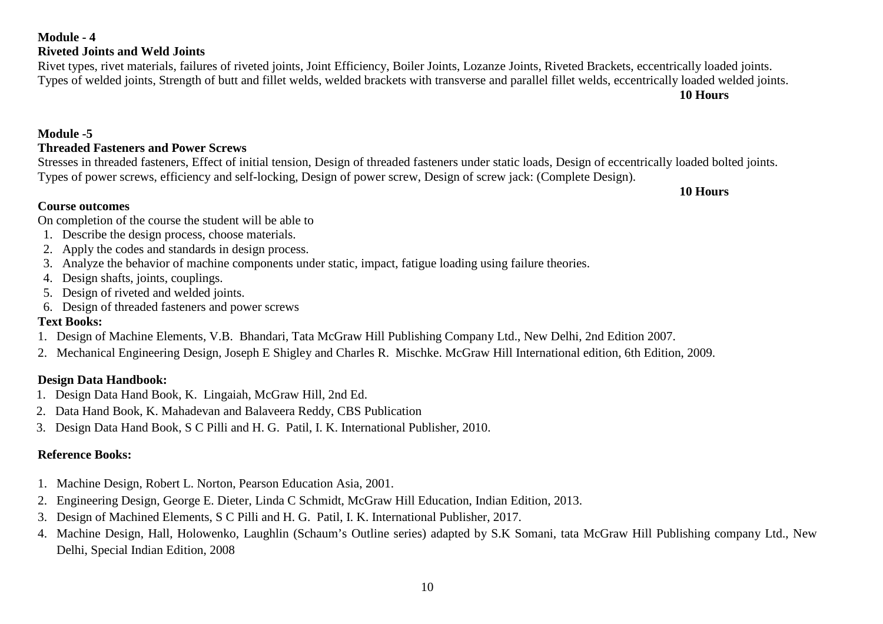#### **Reference Books:**

- 1. Machine Design, Robert L. Norton, Pearson Education Asia, 2001.
- 2. Engineering Design, George E. Dieter, Linda C Schmidt, McGraw Hill Education, Indian Edition, 2013.
- 3. Design of Machined Elements, S C Pilli and H. G. Patil, I. K. International Publisher, 2017.
- 4. Machine Design, Hall, Holowenko, Laughlin (Schaum's Outline series) adapted by S.K Somani, tata McGraw Hill Publishing company Ltd., New Delhi, Special Indian Edition, 2008

#### **Module -5**

#### **Threaded Fasteners and Power Screws**

 Stresses in threaded fasteners, Effect of initial tension, Design of threaded fasteners under static loads, Design of eccentrically loaded bolted joints.Types of power screws, efficiency and self-locking, Design of power screw, Design of screw jack: (Complete Design).

**10 Hours** 

**10 Hours** 

#### **Course outcomes**

On completion of the course the student will be able to

- 1. Describe the design process, choose materials.
- 2. Apply the codes and standards in design process.
- 3. Analyze the behavior of machine components under static, impact, fatigue loading using failure theories.
- 4. Design shafts, joints, couplings.
- 5. Design of riveted and welded joints.
- 6. Design of threaded fasteners and power screws

#### **Text Books:**

- 1. Design of Machine Elements, V.B. Bhandari, Tata McGraw Hill Publishing Company Ltd., New Delhi, 2nd Edition 2007.
- 2. Mechanical Engineering Design, Joseph E Shigley and Charles R. Mischke. McGraw Hill International edition, 6th Edition, 2009.

#### **Design Data Handbook:**

- 1. Design Data Hand Book, K. Lingaiah, McGraw Hill, 2nd Ed.
- 2. Data Hand Book, K. Mahadevan and Balaveera Reddy, CBS Publication
- 3. Design Data Hand Book, S C Pilli and H. G. Patil, I. K. International Publisher, 2010.

# **Module - 4**

# **Riveted Joints and Weld Joints**

 Rivet types, rivet materials, failures of riveted joints, Joint Efficiency, Boiler Joints, Lozanze Joints, Riveted Brackets, eccentrically loaded joints.Types of welded joints, Strength of butt and fillet welds, welded brackets with transverse and parallel fillet welds, eccentrically loaded welded joints.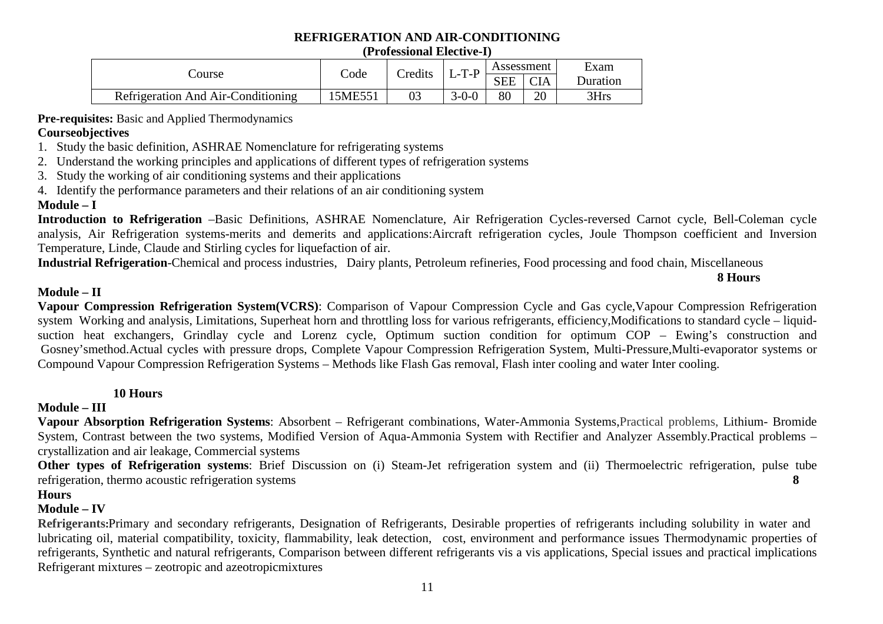# **REFRIGERATION AND AIR-CONDITIONING**

#### **(Professional Elective-I)**

|                                    | Code    | Credits | $T-P$       | Assessment |            | Exam     |  |
|------------------------------------|---------|---------|-------------|------------|------------|----------|--|
| Course                             |         |         |             | <b>SEE</b> | <b>CIA</b> | Duration |  |
| Refrigeration And Air-Conditioning | 15ME551 |         | $3 - 0 - 0$ | 80         | 20         | 3Hrs     |  |

**Pre-requisites:** Basic and Applied Thermodynamics

### **Courseobjectives**

- 1. Study the basic definition, ASHRAE Nomenclature for refrigerating systems
- 2. Understand the working principles and applications of different types of refrigeration systems
- 3. Study the working of air conditioning systems and their applications
- 4. Identify the performance parameters and their relations of an air conditioning system

# **Module – I**

 **Introduction to Refrigeration** –Basic Definitions, ASHRAE Nomenclature, Air Refrigeration Cycles-reversed Carnot cycle, Bell-Coleman cycle analysis, Air Refrigeration systems-merits and demerits and applications:Aircraft refrigeration cycles, Joule Thompson coefficient and Inversion Temperature, Linde, Claude and Stirling cycles for liquefaction of air.

8 Hours

 **Industrial Refrigeration**-Chemical and process industries, Dairy plants, Petroleum refineries, Food processing and food chain, Miscellaneous **8 Hours** 

# **Module – II**

 **Vapour Compression Refrigeration System(VCRS)**: Comparison of Vapour Compression Cycle and Gas cycle,Vapour Compression Refrigeration system Working and analysis, Limitations, Superheat horn and throttling loss for various refrigerants, efficiency,Modifications to standard cycle – liquidsuction heat exchangers, Grindlay cycle and Lorenz cycle, Optimum suction condition for optimum COP – Ewing's construction and Gosney'smethod.Actual cycles with pressure drops, Complete Vapour Compression Refrigeration System, Multi-Pressure,Multi-evaporator systems or Compound Vapour Compression Refrigeration Systems – Methods like Flash Gas removal, Flash inter cooling and water Inter cooling.

#### **10 Hours**

# **Module – III**

 **Vapour Absorption Refrigeration Systems**: Absorbent – Refrigerant combinations, Water-Ammonia Systems,Practical problems, Lithium- Bromide System, Contrast between the two systems, Modified Version of Aqua-Ammonia System with Rectifier and Analyzer Assembly.Practical problems – crystallization and air leakage, Commercial systems

 **Other types of Refrigeration systems**: Brief Discussion on (i) Steam-Jet refrigeration system and (ii) Thermoelectric refrigeration, pulse tube refrigeration, thermo acoustic refrigeration systems **8** 

#### **Hours**

# **Module – IV**

 **Refrigerants:**Primary and secondary refrigerants, Designation of Refrigerants, Desirable properties of refrigerants including solubility in water and lubricating oil, material compatibility, toxicity, flammability, leak detection, cost, environment and performance issues Thermodynamic properties of refrigerants, Synthetic and natural refrigerants, Comparison between different refrigerants vis a vis applications, Special issues and practical implications Refrigerant mixtures – zeotropic and azeotropicmixtures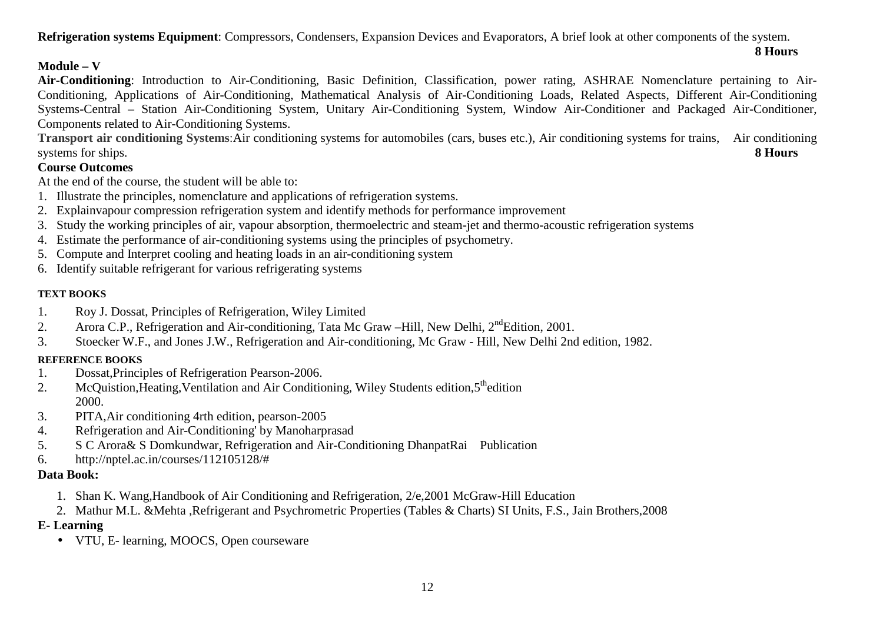**Refrigeration systems Equipment**: Compressors, Condensers, Expansion Devices and Evaporators, A brief look at other components of the system.

# **Module – V**

 **Air-Conditioning**: Introduction to Air-Conditioning, Basic Definition, Classification, power rating, ASHRAE Nomenclature pertaining to Air-Conditioning, Applications of Air-Conditioning, Mathematical Analysis of Air-Conditioning Loads, Related Aspects, Different Air-Conditioning Systems-Central – Station Air-Conditioning System, Unitary Air-Conditioning System, Window Air-Conditioner and Packaged Air-Conditioner, Components related to Air-Conditioning Systems.

**8 Hours**

 **Transport air conditioning Systems**:Air conditioning systems for automobiles (cars, buses etc.), Air conditioning systems for trains, Air conditioning systems for ships. **8 Hours** 

# **Course Outcomes**

At the end of the course, the student will be able to:

- 1. Illustrate the principles, nomenclature and applications of refrigeration systems.
- 2. Explainvapour compression refrigeration system and identify methods for performance improvement
- 3. Study the working principles of air, vapour absorption, thermoelectric and steam-jet and thermo-acoustic refrigeration systems
- 4. Estimate the performance of air-conditioning systems using the principles of psychometry.
- 5. Compute and Interpret cooling and heating loads in an air-conditioning system
- 6. Identify suitable refrigerant for various refrigerating systems

#### **TEXT BOOKS**

- 1. Roy J. Dossat, Principles of Refrigeration, Wiley Limited
- 2. Arora C.P., Refrigeration and Air-conditioning, Tata Mc Graw –Hill, New Delhi, 2<sup>nd</sup>Edition, 2001.
- 3. Stoecker W.F., and Jones J.W., Refrigeration and Air-conditioning, Mc Graw Hill, New Delhi 2nd edition, 1982.

#### **REFERENCE BOOKS**

- 1. Dossat,Principles of Refrigeration Pearson-2006.
- 2. McQuistion, Heating, Ventilation and Air Conditioning, Wiley Students edition, 5<sup>th</sup>edition 2000.
- 3. PITA,Air conditioning 4rth edition, pearson-2005
- 4. Refrigeration and Air-Conditioning' by Manoharprasad
- 5. S C Arora& S Domkundwar, Refrigeration and Air-Conditioning DhanpatRai Publication
- 6. http://nptel.ac.in/courses/112105128/#

# **Data Book:**

- 1. Shan K. Wang,Handbook of Air Conditioning and Refrigeration, 2/e,2001 McGraw-Hill Education
- 2. Mathur M.L. &Mehta ,Refrigerant and Psychrometric Properties (Tables & Charts) SI Units, F.S., Jain Brothers,2008

# **E- Learning**

• VTU, E- learning, MOOCS, Open courseware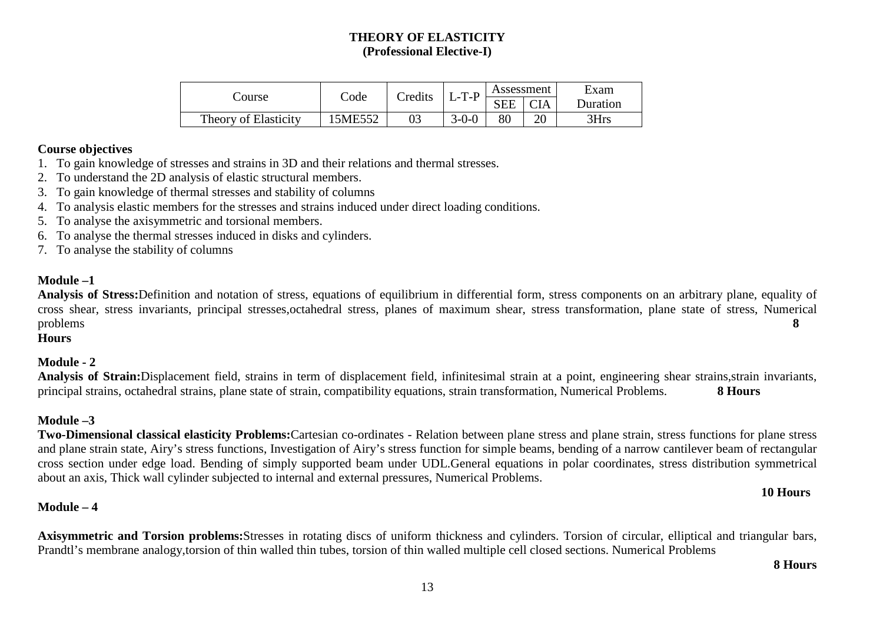# **THEORY OF ELASTICITY (Professional Elective-I)**

| Course               |         | Credits | $L-T-P$     | Assessment |            | Exam     |
|----------------------|---------|---------|-------------|------------|------------|----------|
|                      | Code    |         |             | <b>SEE</b> | <b>CIA</b> | Duration |
| Theory of Elasticity | 15ME552 | 03      | $3 - 0 - 0$ | 80         | ററ         | 3Hrs     |

#### **Course objectives**

- 1. To gain knowledge of stresses and strains in 3D and their relations and thermal stresses.
- 2. To understand the 2D analysis of elastic structural members.
- 3. To gain knowledge of thermal stresses and stability of columns
- 4. To analysis elastic members for the stresses and strains induced under direct loading conditions.
- 5. To analyse the axisymmetric and torsional members.
- 6. To analyse the thermal stresses induced in disks and cylinders.
- 7. To analyse the stability of columns

# **Module –1**

 **Analysis of Stress:**Definition and notation of stress, equations of equilibrium in differential form, stress components on an arbitrary plane, equality of cross shear, stress invariants, principal stresses,octahedral stress, planes of maximum shear, stress transformation, plane state of stress, Numerical problems **8** 

**Hours** 

# **Module - 2**

**Analysis of Strain:**Displacement field, strains in term of displacement field, infinitesimal strain at a point, engineering shear strains,strain invariants, principal strains, octahedral strains, plane state of strain, compatibility equations, strain transformation, Numerical Problems. **8 Hours** 

# **Module –3**

 **Two-Dimensional classical elasticity Problems:**Cartesian co-ordinates - Relation between plane stress and plane strain, stress functions for plane stress and plane strain state, Airy's stress functions, Investigation of Airy's stress function for simple beams, bending of a narrow cantilever beam of rectangular cross section under edge load. Bending of simply supported beam under UDL.General equations in polar coordinates, stress distribution symmetrical about an axis, Thick wall cylinder subjected to internal and external pressures, Numerical Problems.

# **Module – 4**

**Axisymmetric and Torsion problems:**Stresses in rotating discs of uniform thickness and cylinders. Torsion of circular, elliptical and triangular bars, Prandtl's membrane analogy,torsion of thin walled thin tubes, torsion of thin walled multiple cell closed sections. Numerical Problems

#### **8 Hours**

**10 Hours**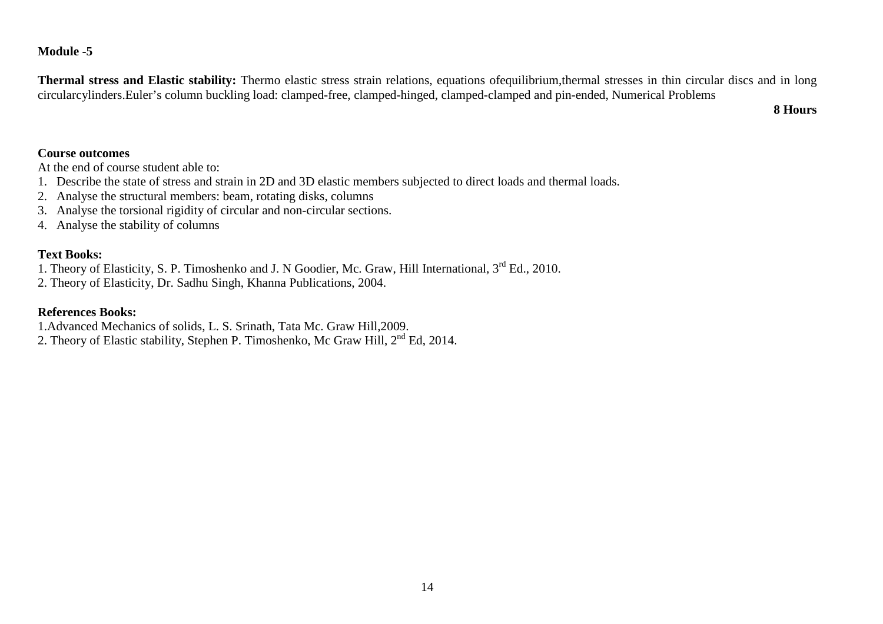# **Module -5**

**Thermal stress and Elastic stability:** Thermo elastic stress strain relations, equations ofequilibrium,thermal stresses in thin circular discs and in long circularcylinders.Euler's column buckling load: clamped-free, clamped-hinged, clamped-clamped and pin-ended, Numerical Problems

**8 Hours** 

#### **Course outcomes**

At the end of course student able to:

- 1. Describe the state of stress and strain in 2D and 3D elastic members subjected to direct loads and thermal loads.
- 2. Analyse the structural members: beam, rotating disks, columns
- 3. Analyse the torsional rigidity of circular and non-circular sections.
- 4. Analyse the stability of columns

### **Text Books:**

- 1. Theory of Elasticity, S. P. Timoshenko and J. N Goodier, Mc. Graw, Hill International, 3<sup>rd</sup> Ed., 2010.
- 2. Theory of Elasticity, Dr. Sadhu Singh, Khanna Publications, 2004.

### **References Books:**

- 1.Advanced Mechanics of solids, L. S. Srinath, Tata Mc. Graw Hill,2009.
- 2. Theory of Elastic stability, Stephen P. Timoshenko, Mc Graw Hill, 2<sup>nd</sup> Ed, 2014.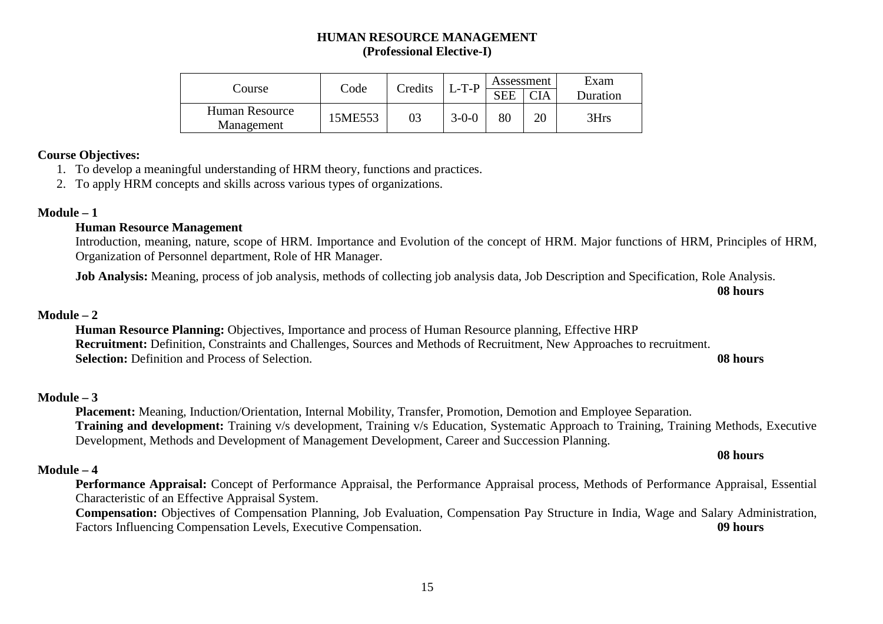# **HUMAN RESOURCE MANAGEMENT (Professional Elective-I)**

|                              | Code    | Credits | $L-T-P$     | Assessment |            | Exam     |
|------------------------------|---------|---------|-------------|------------|------------|----------|
| Course                       |         |         |             | <b>SEE</b> | <b>CIA</b> | Duration |
| Human Resource<br>Management | 15ME553 | 03      | $3 - 0 - 0$ | 80         |            | 3Hrs     |

#### **Course Objectives:**

- 1. To develop a meaningful understanding of HRM theory, functions and practices.
- 2. To apply HRM concepts and skills across various types of organizations.

#### **Module – 1**

#### **Human Resource Management**

Introduction, meaning, nature, scope of HRM. Importance and Evolution of the concept of HRM. Major functions of HRM, Principles of HRM, Organization of Personnel department, Role of HR Manager.

**Job Analysis:** Meaning, process of job analysis, methods of collecting job analysis data, Job Description and Specification, Role Analysis.

**08 hours**

#### **Module – 2**

 **Human Resource Planning:** Objectives, Importance and process of Human Resource planning, Effective HRP **Recruitment:** Definition, Constraints and Challenges, Sources and Methods of Recruitment, New Approaches to recruitment.**Selection:** Definition and Process of Selection. **08 hours**

#### **Module – 3**

 **Placement:** Meaning, Induction/Orientation, Internal Mobility, Transfer, Promotion, Demotion and Employee Separation. **Training and development:** Training v/s development, Training v/s Education, Systematic Approach to Training, Training Methods, Executive Development, Methods and Development of Management Development, Career and Succession Planning.

#### **08 hours**

#### **Module – 4**

 **Performance Appraisal:** Concept of Performance Appraisal, the Performance Appraisal process, Methods of Performance Appraisal, Essential Characteristic of an Effective Appraisal System.

 **Compensation:** Objectives of Compensation Planning, Job Evaluation, Compensation Pay Structure in India, Wage and Salary Administration, Factors Influencing Compensation Levels, Executive Compensation. **09 hours**

#### 15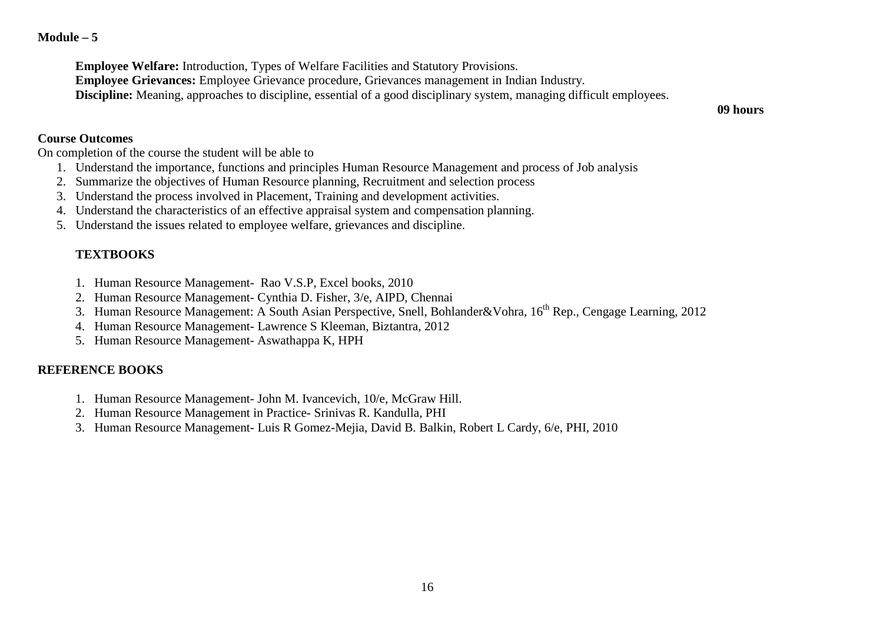#### **Module – 5**

**Employee Welfare:** Introduction, Types of Welfare Facilities and Statutory Provisions.

**Employee Grievances:** Employee Grievance procedure, Grievances management in Indian Industry.

**Discipline:** Meaning, approaches to discipline, essential of a good disciplinary system, managing difficult employees.

**09 hours**

#### **Course Outcomes**

On completion of the course the student will be able to

- 1. Understand the importance, functions and principles Human Resource Management and process of Job analysis
- 2. Summarize the objectives of Human Resource planning, Recruitment and selection process
- 3. Understand the process involved in Placement, Training and development activities.
- 4. Understand the characteristics of an effective appraisal system and compensation planning.
- 5. Understand the issues related to employee welfare, grievances and discipline.

# **TEXTBOOKS**

- 1. Human Resource Management- Rao V.S.P, Excel books, 2010
- 2. Human Resource Management- Cynthia D. Fisher, 3/e, AIPD, Chennai
- 3. Human Resource Management: A South Asian Perspective, Snell, Bohlander&Vohra, 16<sup>th</sup> Rep., Cengage Learning, 2012
- 4. Human Resource Management- Lawrence S Kleeman, Biztantra, 2012
- 5. Human Resource Management- Aswathappa K, HPH

# **REFERENCE BOOKS**

- 1. Human Resource Management- John M. Ivancevich, 10/e, McGraw Hill.
- 2. Human Resource Management in Practice- Srinivas R. Kandulla, PHI
- 3. Human Resource Management- Luis R Gomez-Mejia, David B. Balkin, Robert L Cardy, 6/e, PHI, 2010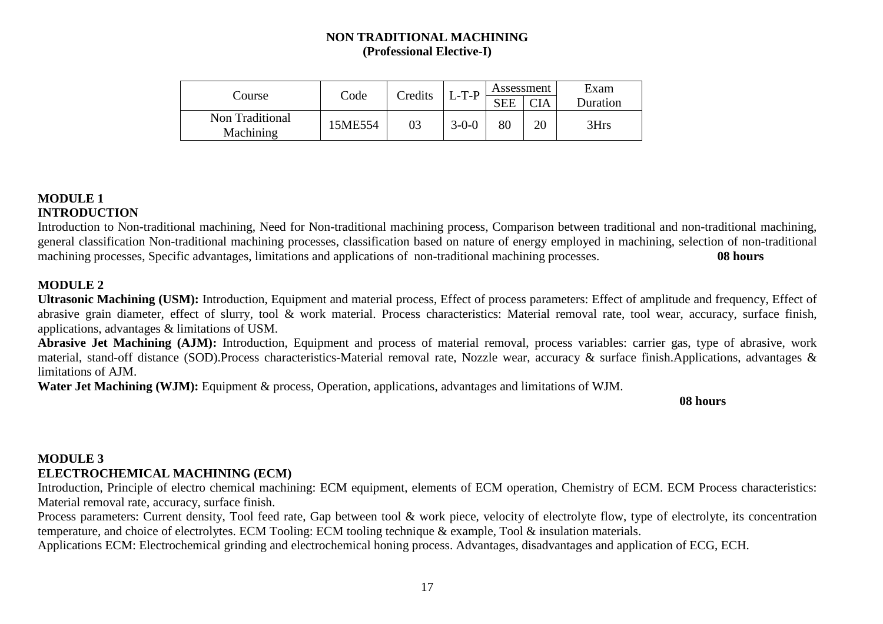# **NON TRADITIONAL MACHINING (Professional Elective-I)**

|                              | Code    | Credits | $L-T-P$     | Assessment |     | Exam     |
|------------------------------|---------|---------|-------------|------------|-----|----------|
| Course                       |         |         |             | <b>SEE</b> | CIA | Duration |
| Non Traditional<br>Machining | 15ME554 | 03      | $3 - 0 - 0$ | 80         |     | 3Hrs     |

# **MODULE 1 INTRODUCTION**

 Introduction to Non-traditional machining, Need for Non-traditional machining process, Comparison between traditional and non-traditional machining, general classification Non-traditional machining processes, classification based on nature of energy employed in machining, selection of non-traditional machining processes, Specific advantages, limitations and applications of non-traditional machining processes. **08 hours** 

# **MODULE 2**

 **Ultrasonic Machining (USM):** Introduction, Equipment and material process, Effect of process parameters: Effect of amplitude and frequency, Effect of abrasive grain diameter, effect of slurry, tool & work material. Process characteristics: Material removal rate, tool wear, accuracy, surface finish, applications, advantages & limitations of USM.

 **Abrasive Jet Machining (AJM):** Introduction, Equipment and process of material removal, process variables: carrier gas, type of abrasive, work material, stand-off distance (SOD).Process characteristics-Material removal rate, Nozzle wear, accuracy & surface finish.Applications, advantages & limitations of AJM.

**Water Jet Machining (WJM):** Equipment & process, Operation, applications, advantages and limitations of WJM.

**08 hours** 

# **MODULE 3 ELECTROCHEMICAL MACHINING (ECM)**

Introduction, Principle of electro chemical machining: ECM equipment, elements of ECM operation, Chemistry of ECM. ECM Process characteristics: Material removal rate, accuracy, surface finish.

Process parameters: Current density, Tool feed rate, Gap between tool & work piece, velocity of electrolyte flow, type of electrolyte, its concentration temperature, and choice of electrolytes. ECM Tooling: ECM tooling technique & example, Tool & insulation materials.

Applications ECM: Electrochemical grinding and electrochemical honing process. Advantages, disadvantages and application of ECG, ECH.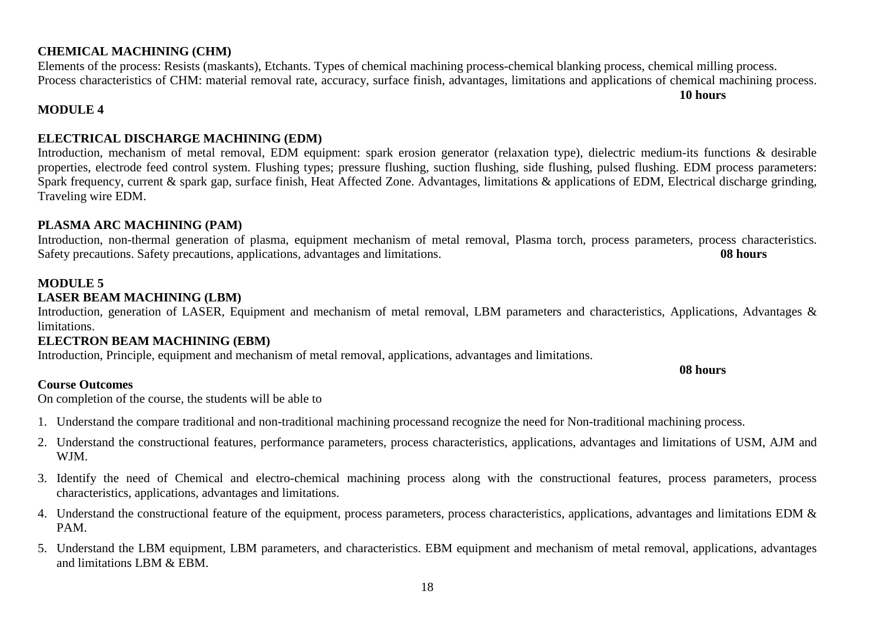# **CHEMICAL MACHINING (CHM)**

 Elements of the process: Resists (maskants), Etchants. Types of chemical machining process-chemical blanking process, chemical milling process. Process characteristics of CHM: material removal rate, accuracy, surface finish, advantages, limitations and applications of chemical machining process.

# **MODULE 4**

# **ELECTRICAL DISCHARGE MACHINING (EDM)**

 Introduction, mechanism of metal removal, EDM equipment: spark erosion generator (relaxation type), dielectric medium-its functions & desirable properties, electrode feed control system. Flushing types; pressure flushing, suction flushing, side flushing, pulsed flushing. EDM process parameters: Spark frequency, current & spark gap, surface finish, Heat Affected Zone. Advantages, limitations & applications of EDM, Electrical discharge grinding, Traveling wire EDM.

### **PLASMA ARC MACHINING (PAM)**

 Introduction, non-thermal generation of plasma, equipment mechanism of metal removal, Plasma torch, process parameters, process characteristics. Safety precautions. Safety precautions, applications, advantages and limitations. **08 hours** 

# **MODULE 5**

# **LASER BEAM MACHINING (LBM)**

Introduction, generation of LASER, Equipment and mechanism of metal removal, LBM parameters and characteristics, Applications, Advantages & limitations.

# **ELECTRON BEAM MACHINING (EBM)**

Introduction, Principle, equipment and mechanism of metal removal, applications, advantages and limitations.

#### **Course Outcomes**

#### **08 hours**

**10 hours** 

On completion of the course, the students will be able to

- 1. Understand the compare traditional and non-traditional machining processand recognize the need for Non-traditional machining process.
- 2. Understand the constructional features, performance parameters, process characteristics, applications, advantages and limitations of USM, AJM and WJM.
- 3. Identify the need of Chemical and electro-chemical machining process along with the constructional features, process parameters, process characteristics, applications, advantages and limitations.
- 4. Understand the constructional feature of the equipment, process parameters, process characteristics, applications, advantages and limitations EDM  $\&$ PAM.
- 5. Understand the LBM equipment, LBM parameters, and characteristics. EBM equipment and mechanism of metal removal, applications, advantages and limitations LBM & EBM.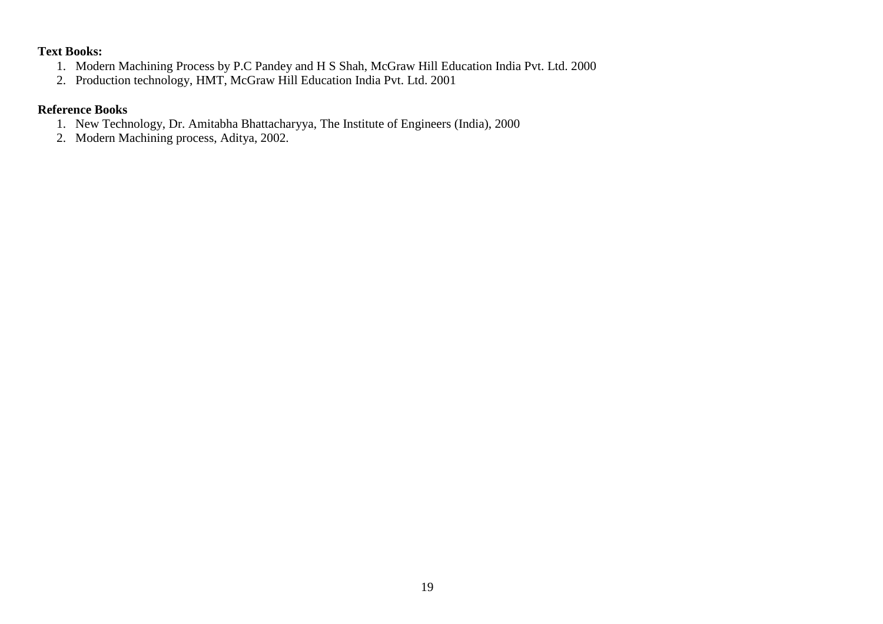# **Text Books:**

- 1. Modern Machining Process by P.C Pandey and H S Shah, McGraw Hill Education India Pvt. Ltd. 2000
- 2. Production technology, HMT, McGraw Hill Education India Pvt. Ltd. 2001

# **Reference Books**

- 1. New Technology, Dr. Amitabha Bhattacharyya, The Institute of Engineers (India), 2000
- 2. Modern Machining process, Aditya, 2002.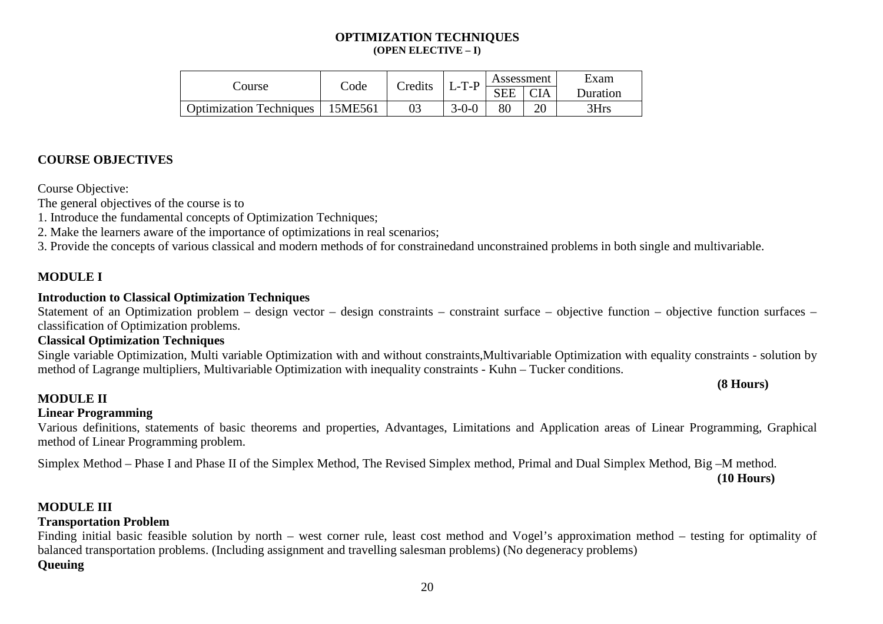#### **OPTIMIZATION TECHNIQUES (OPEN ELECTIVE – I)**

|                                |                   | Credits | $L-T-P$     | Assessment |            | Exam     |
|--------------------------------|-------------------|---------|-------------|------------|------------|----------|
| Course                         | $\mathcal{L}$ ode |         |             | <b>SEE</b> | <b>CIA</b> | Duration |
| <b>Optimization Techniques</b> | 15ME561           |         | $3 - 0 - 0$ | 80         | ገቦ         | 3Hrs     |

# **COURSE OBJECTIVES**

Course Objective:

The general objectives of the course is to

1. Introduce the fundamental concepts of Optimization Techniques;

2. Make the learners aware of the importance of optimizations in real scenarios;

3. Provide the concepts of various classical and modern methods of for constrainedand unconstrained problems in both single and multivariable.

### **MODULE I**

#### **Introduction to Classical Optimization Techniques**

Statement of an Optimization problem – design vector – design constraints – constraint surface – objective function – objective function surfaces – classification of Optimization problems.

### **Classical Optimization Techniques**

 Single variable Optimization, Multi variable Optimization with and without constraints,Multivariable Optimization with equality constraints - solution bymethod of Lagrange multipliers, Multivariable Optimization with inequality constraints - Kuhn – Tucker conditions.

#### **(8 Hours)**

#### **MODULE II**

#### **Linear Programming**

 Various definitions, statements of basic theorems and properties, Advantages, Limitations and Application areas of Linear Programming, Graphical method of Linear Programming problem.

Simplex Method – Phase I and Phase II of the Simplex Method, The Revised Simplex method, Primal and Dual Simplex Method, Big –M method.

#### **(10 Hours)**

#### **MODULE III**

#### **Transportation Problem**

 Finding initial basic feasible solution by north – west corner rule, least cost method and Vogel's approximation method – testing for optimality of balanced transportation problems. (Including assignment and travelling salesman problems) (No degeneracy problems)

#### **Queuing**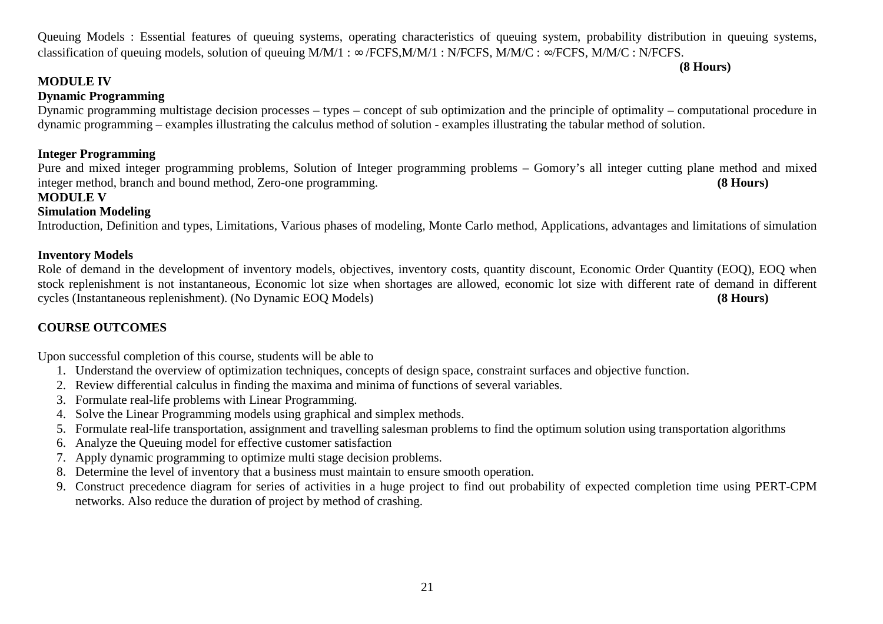21

Queuing Models : Essential features of queuing systems, operating characteristics of queuing system, probability distribution in queuing systems, classification of queuing models, solution of queuing  $M/M/1$  :  $\infty$  /FCFS,  $M/M/1$  : N/FCFS,  $M/M/C$  :  $\infty$ /FCFS,  $M/M/C$  : N/FCFS.

**(8 Hours)**

# **MODULE IV**

# **Dynamic Programming**

 Dynamic programming multistage decision processes – types – concept of sub optimization and the principle of optimality – computational procedure in dynamic programming – examples illustrating the calculus method of solution - examples illustrating the tabular method of solution.

## **Integer Programming**

 Pure and mixed integer programming problems, Solution of Integer programming problems – Gomory's all integer cutting plane method and mixed integer method, branch and bound method, Zero-one programming. **(8 Hours)**

#### **MODULE V**

### **Simulation Modeling**

Introduction, Definition and types, Limitations, Various phases of modeling, Monte Carlo method, Applications, advantages and limitations of simulation

#### **Inventory Models**

Role of demand in the development of inventory models, objectives, inventory costs, quantity discount, Economic Order Quantity (EOQ), EOQ when stock replenishment is not instantaneous, Economic lot size when shortages are allowed, economic lot size with different rate of demand in different cycles (Instantaneous replenishment). (No Dynamic EOQ Models) **(8 Hours)** 

# **COURSE OUTCOMES**

Upon successful completion of this course, students will be able to

- 1. Understand the overview of optimization techniques, concepts of design space, constraint surfaces and objective function.
- 2. Review differential calculus in finding the maxima and minima of functions of several variables.
- 3. Formulate real-life problems with Linear Programming.
- 4. Solve the Linear Programming models using graphical and simplex methods.
- 5. Formulate real-life transportation, assignment and travelling salesman problems to find the optimum solution using transportation algorithms
- 6. Analyze the Queuing model for effective customer satisfaction
- 7. Apply dynamic programming to optimize multi stage decision problems.
- 8. Determine the level of inventory that a business must maintain to ensure smooth operation.
- 9. Construct precedence diagram for series of activities in a huge project to find out probability of expected completion time using PERT-CPM networks. Also reduce the duration of project by method of crashing.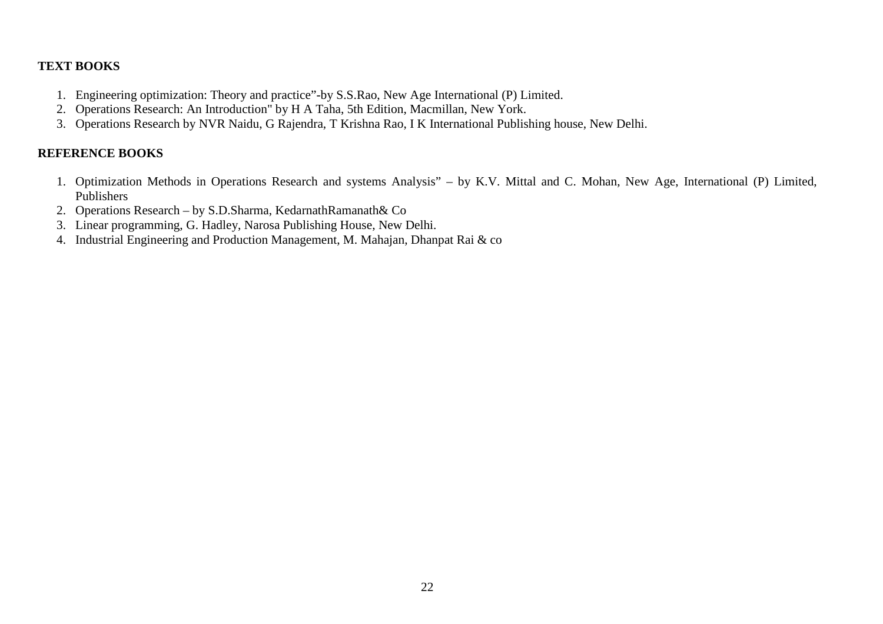# **TEXT BOOKS**

- 1. Engineering optimization: Theory and practice"-by S.S.Rao, New Age International (P) Limited.
- 2. Operations Research: An Introduction" by H A Taha, 5th Edition, Macmillan, New York.
- 3. Operations Research by NVR Naidu, G Rajendra, T Krishna Rao, I K International Publishing house, New Delhi.

# **REFERENCE BOOKS**

- 1. Optimization Methods in Operations Research and systems Analysis" by K.V. Mittal and C. Mohan, New Age, International (P) Limited, Publishers
- 2. Operations Research by S.D.Sharma, KedarnathRamanath& Co
- 3. Linear programming, G. Hadley, Narosa Publishing House, New Delhi.
- 4. Industrial Engineering and Production Management, M. Mahajan, Dhanpat Rai & co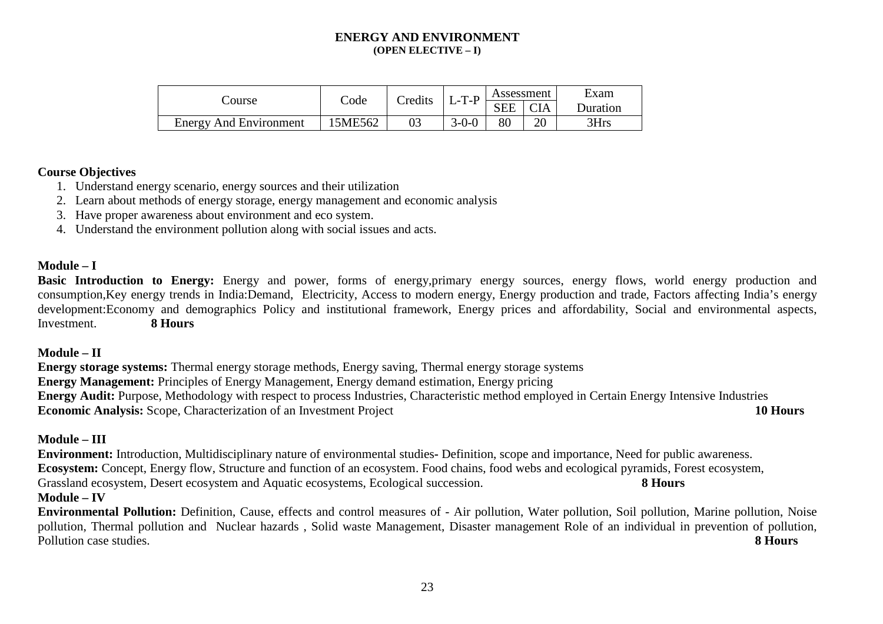#### **ENERGY AND ENVIRONMENT (OPEN ELECTIVE – I)**

|                               | Code    | Credits | $L$ -T-P    | Assessment |            | Exam     |  |
|-------------------------------|---------|---------|-------------|------------|------------|----------|--|
| Course                        |         |         |             | <b>SEE</b> | <b>CIA</b> | Duration |  |
| <b>Energy And Environment</b> | 15ME562 |         | $3 - 0 - 0$ | $80\,$     | 20         | 3Hrs     |  |

#### **Course Objectives**

- 1. Understand energy scenario, energy sources and their utilization
- 2. Learn about methods of energy storage, energy management and economic analysis
- 3. Have proper awareness about environment and eco system.
- 4. Understand the environment pollution along with social issues and acts.

#### **Module – I**

Basic Introduction to Energy: Energy and power, forms of energy,primary energy sources, energy flows, world energy production and consumption,Key energy trends in India:Demand, Electricity, Access to modern energy, Energy production and trade, Factors affecting India's energy development:Economy and demographics Policy and institutional framework, Energy prices and affordability, Social and environmental aspects, Investment. **8 Hours** 

#### **Module – II**

 **Energy storage systems:** Thermal energy storage methods, Energy saving, Thermal energy storage systems **Energy Management:** Principles of Energy Management, Energy demand estimation, Energy pricing **Energy Audit:** Purpose, Methodology with respect to process Industries, Characteristic method employed in Certain Energy Intensive Industries **Economic Analysis:** Scope, Characterization of an Investment Project **10 Hours**

#### **Module – III**

**Environment:** Introduction, Multidisciplinary nature of environmental studies**-** Definition, scope and importance, Need for public awareness. **Ecosystem:** Concept, Energy flow, Structure and function of an ecosystem. Food chains, food webs and ecological pyramids, Forest ecosystem, Grassland ecosystem, Desert ecosystem and Aquatic ecosystems, Ecological succession. **8 Hours** 

#### **Module – IV**

**Environmental Pollution:** Definition, Cause, effects and control measures of - Air pollution, Water pollution, Soil pollution, Marine pollution, Noise pollution, Thermal pollution and Nuclear hazards , Solid waste Management, Disaster management Role of an individual in prevention of pollution, Pollution case studies. **8 Hours**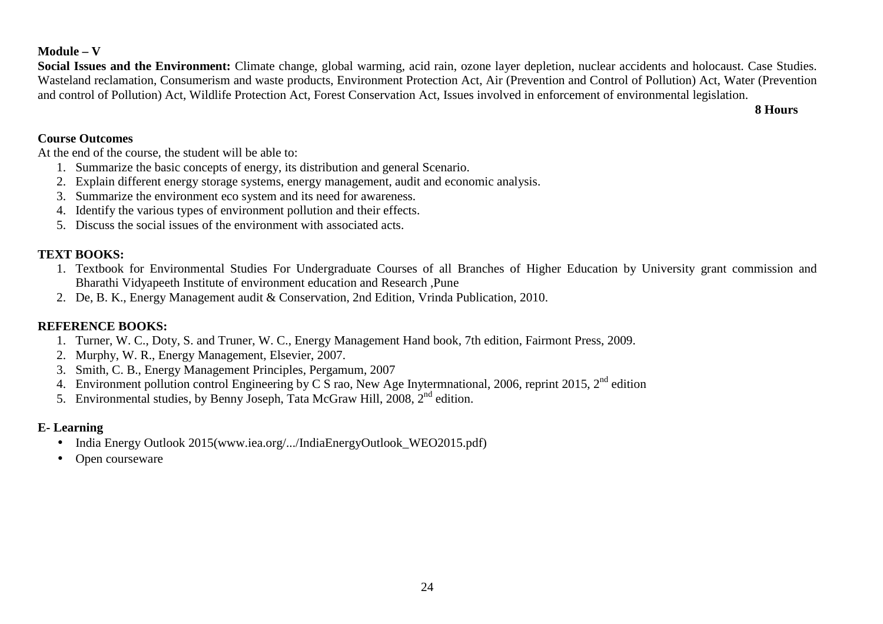# **Module – V**

 **Social Issues and the Environment:** Climate change, global warming, acid rain, ozone layer depletion, nuclear accidents and holocaust. Case Studies. Wasteland reclamation, Consumerism and waste products, Environment Protection Act, Air (Prevention and Control of Pollution) Act, Water (Prevention and control of Pollution) Act, Wildlife Protection Act, Forest Conservation Act, Issues involved in enforcement of environmental legislation.

**8 Hours**

#### **Course Outcomes**

At the end of the course, the student will be able to:

- 1. Summarize the basic concepts of energy, its distribution and general Scenario.
- 2. Explain different energy storage systems, energy management, audit and economic analysis.
- 3. Summarize the environment eco system and its need for awareness.
- 4. Identify the various types of environment pollution and their effects.
- 5. Discuss the social issues of the environment with associated acts.

### **TEXT BOOKS:**

- 1. Textbook for Environmental Studies For Undergraduate Courses of all Branches of Higher Education by University grant commission and Bharathi Vidyapeeth Institute of environment education and Research ,Pune
- 2. De, B. K., Energy Management audit & Conservation, 2nd Edition, Vrinda Publication, 2010.

#### **REFERENCE BOOKS:**

- 1. Turner, W. C., Doty, S. and Truner, W. C., Energy Management Hand book, 7th edition, Fairmont Press, 2009.
- 2. Murphy, W. R., Energy Management, Elsevier, 2007.
- 3. Smith, C. B., Energy Management Principles, Pergamum, 2007
- 4. Environment pollution control Engineering by C S rao, New Age Inytermnational, 2006, reprint 2015,  $2^{nd}$  edition
- 5. Environmental studies, by Benny Joseph, Tata McGraw Hill, 2008,  $2<sup>nd</sup>$  edition.

# **E- Learning**

- India Energy Outlook 2015(www.iea.org/.../IndiaEnergyOutlook\_WEO2015.pdf)
- $\bullet$ Open courseware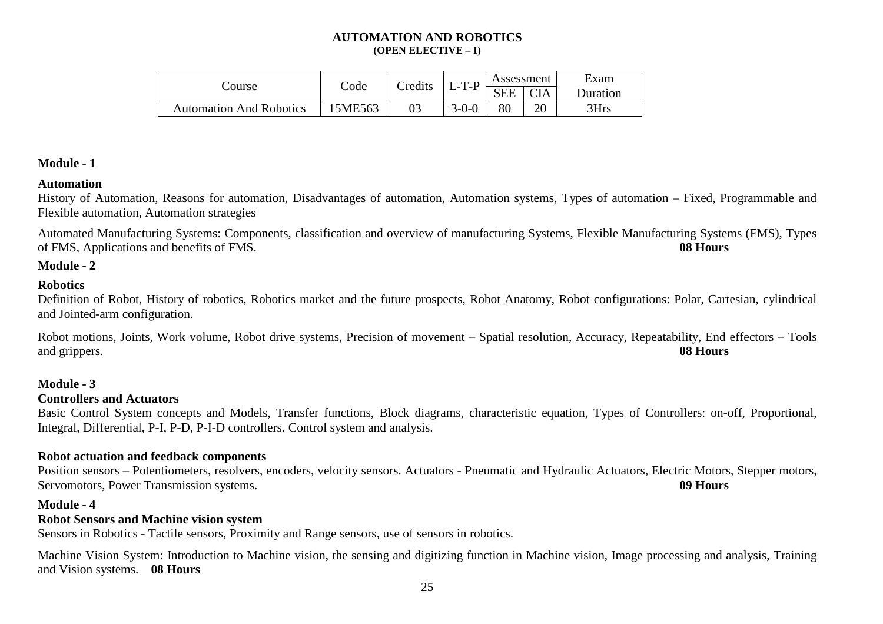#### **AUTOMATION AND ROBOTICS (OPEN ELECTIVE – I)**

|                                | Code    | <b>Credits</b> | .T.P<br>-   | Assessment |            | Exam     |
|--------------------------------|---------|----------------|-------------|------------|------------|----------|
| Course                         |         |                |             | <b>SEE</b> | <b>CIA</b> | Duration |
| <b>Automation And Robotics</b> | 15ME563 |                | $3 - 0 - 0$ | 80         | nr<br>ΖU   | 3Hrs     |

#### **Module - 1**

#### **Automation**

 History of Automation, Reasons for automation, Disadvantages of automation, Automation systems, Types of automation – Fixed, Programmable and Flexible automation, Automation strategies

Automated Manufacturing Systems: Components, classification and overview of manufacturing Systems, Flexible Manufacturing Systems (FMS), Types of FMS, Applications and benefits of FMS. **08 Hours**

#### **Module - 2**

#### **Robotics**

 Definition of Robot, History of robotics, Robotics market and the future prospects, Robot Anatomy, Robot configurations: Polar, Cartesian, cylindrical and Jointed-arm configuration.

Robot motions, Joints, Work volume, Robot drive systems, Precision of movement – Spatial resolution, Accuracy, Repeatability, End effectors – Tools and grippers. **08 Hours**

#### **Module - 3**

#### **Controllers and Actuators**

 Basic Control System concepts and Models, Transfer functions, Block diagrams, characteristic equation, Types of Controllers: on-off, Proportional, Integral, Differential, P-I, P-D, P-I-D controllers. Control system and analysis.

#### **Robot actuation and feedback components**

 Position sensors – Potentiometers, resolvers, encoders, velocity sensors. Actuators - Pneumatic and Hydraulic Actuators, Electric Motors, Stepper motors,Servomotors, Power Transmission systems. **09 Hours**

#### **Module - 4**

#### **Robot Sensors and Machine vision system**

Sensors in Robotics - Tactile sensors, Proximity and Range sensors, use of sensors in robotics.

Machine Vision System: Introduction to Machine vision, the sensing and digitizing function in Machine vision, Image processing and analysis, Training and Vision systems. **08 Hours**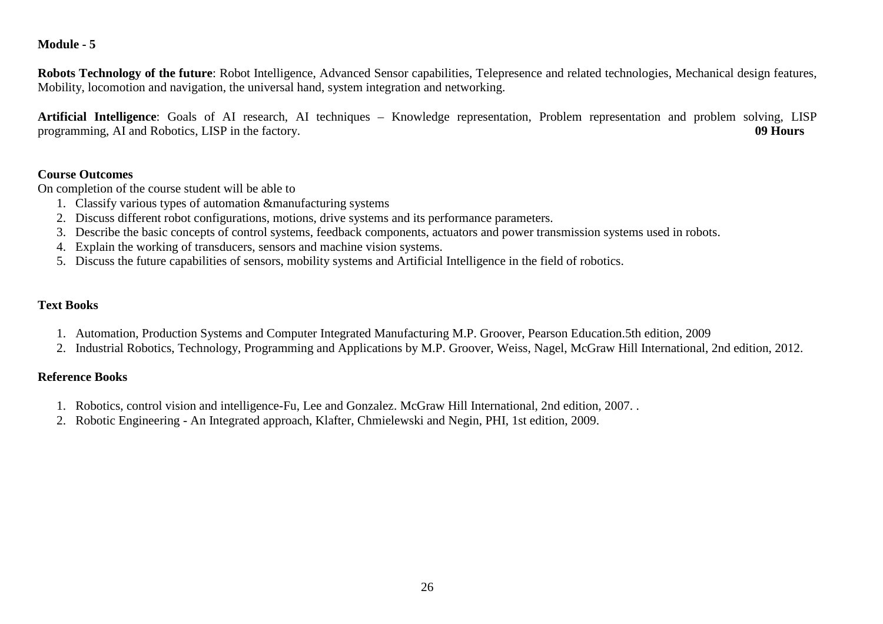#### **Module - 5**

**Robots Technology of the future**: Robot Intelligence, Advanced Sensor capabilities, Telepresence and related technologies, Mechanical design features, Mobility, locomotion and navigation, the universal hand, system integration and networking.

**Artificial Intelligence**: Goals of AI research, AI techniques – Knowledge representation, Problem representation and problem solving, LISP programming, AI and Robotics, LISP in the factory. **09 Hours**

# **Course Outcomes**

On completion of the course student will be able to

- 1. Classify various types of automation &manufacturing systems
- 2. Discuss different robot configurations, motions, drive systems and its performance parameters.
- 3. Describe the basic concepts of control systems, feedback components, actuators and power transmission systems used in robots.
- 4. Explain the working of transducers, sensors and machine vision systems.
- 5. Discuss the future capabilities of sensors, mobility systems and Artificial Intelligence in the field of robotics.

### **Text Books**

- 1. Automation, Production Systems and Computer Integrated Manufacturing M.P. Groover, Pearson Education.5th edition, 2009
- 2. Industrial Robotics, Technology, Programming and Applications by M.P. Groover, Weiss, Nagel, McGraw Hill International, 2nd edition, 2012.

#### **Reference Books**

- 1. Robotics, control vision and intelligence-Fu, Lee and Gonzalez. McGraw Hill International, 2nd edition, 2007. .
- 2. Robotic Engineering An Integrated approach, Klafter, Chmielewski and Negin, PHI, 1st edition, 2009.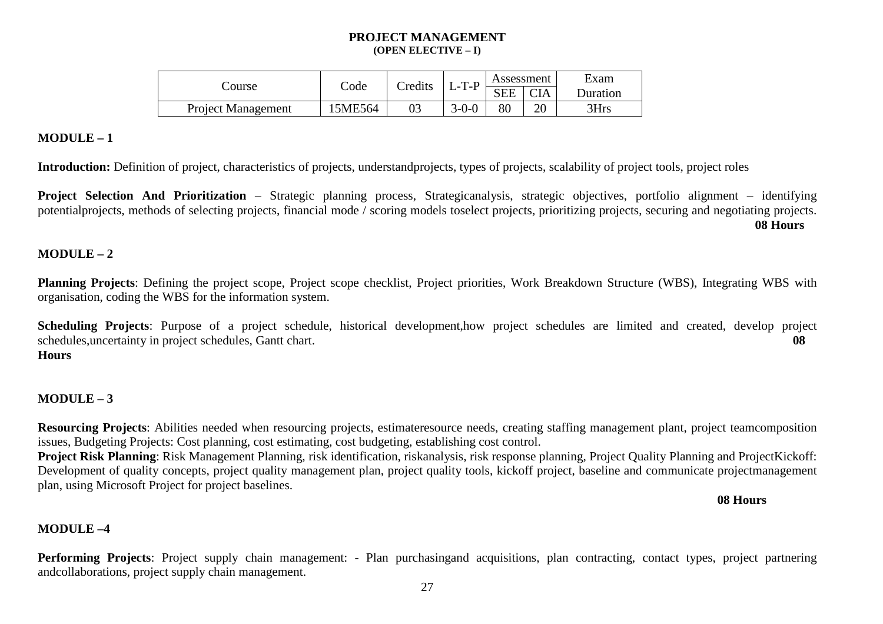#### **PROJECT MANAGEMENT (OPEN ELECTIVE – I)**

| Course                    | Code    | Credits | .T.P<br>$\overline{\phantom{0}}$ | Assessment |            | Exam     |
|---------------------------|---------|---------|----------------------------------|------------|------------|----------|
|                           |         |         |                                  | <b>SEE</b> | <b>CIA</b> | Duration |
| <b>Project Management</b> | 15ME564 |         | $3 - 0 - 0$                      | 80         | 20         | 3Hrs     |

#### **MODULE – 1**

Introduction: Definition of project, characteristics of projects, understandprojects, types of projects, scalability of project tools, project roles

**Project Selection And Prioritization** – Strategic planning process, Strategicanalysis, strategic objectives, portfolio alignment – identifying potentialprojects, methods of selecting projects, financial mode / scoring models toselect projects, prioritizing projects, securing and negotiating projects.**08 Hours** 

#### **MODULE – 2**

**Planning Projects**: Defining the project scope, Project scope checklist, Project priorities, Work Breakdown Structure (WBS), Integrating WBS with organisation, coding the WBS for the information system.

**Scheduling Projects**: Purpose of a project schedule, historical development,how project schedules are limited and created, develop project schedules,uncertainty in project schedules, Gantt chart. **08 Hours** 

#### **MODULE – 3**

**Resourcing Projects**: Abilities needed when resourcing projects, estimateresource needs, creating staffing management plant, project teamcomposition issues, Budgeting Projects: Cost planning, cost estimating, cost budgeting, establishing cost control.

 **Project Risk Planning**: Risk Management Planning, risk identification, riskanalysis, risk response planning, Project Quality Planning and ProjectKickoff: Development of quality concepts, project quality management plan, project quality tools, kickoff project, baseline and communicate projectmanagement plan, using Microsoft Project for project baselines.

**08 Hours** 

# **MODULE –4**

Performing Projects: Project supply chain management: - Plan purchasingand acquisitions, plan contracting, contact types, project partnering andcollaborations, project supply chain management.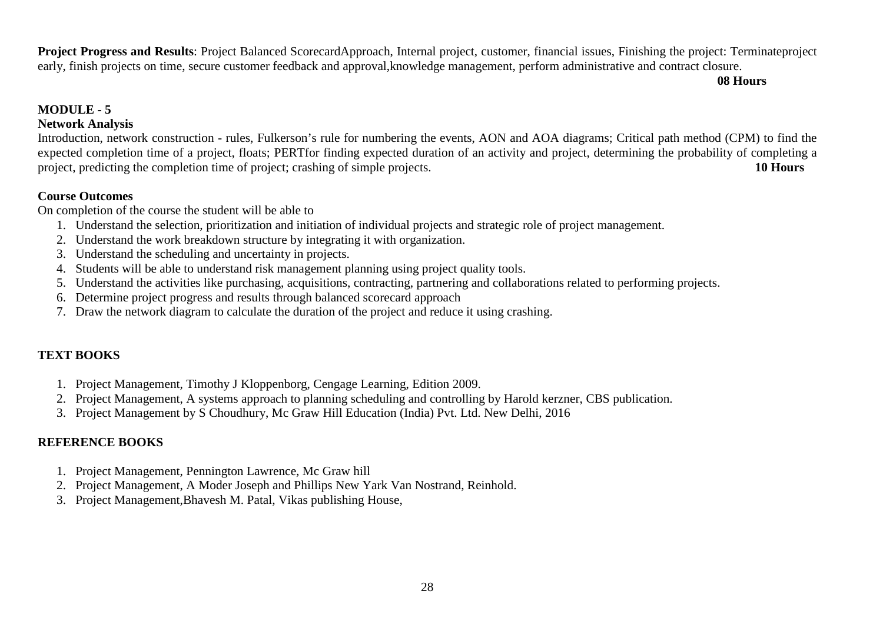**Project Progress and Results**: Project Balanced ScorecardApproach, Internal project, customer, financial issues, Finishing the project: Terminateproject early, finish projects on time, secure customer feedback and approval,knowledge management, perform administrative and contract closure.

**08 Hours** 

# **MODULE - 5**

# **Network Analysis**

 Introduction, network construction - rules, Fulkerson's rule for numbering the events, AON and AOA diagrams; Critical path method (CPM) to find the expected completion time of a project, floats; PERTfor finding expected duration of an activity and project, determining the probability of completing a project, predicting the completion time of project; crashing of simple projects. **10 Hours** 

#### **Course Outcomes**

On completion of the course the student will be able to

- 1. Understand the selection, prioritization and initiation of individual projects and strategic role of project management.
- 2. Understand the work breakdown structure by integrating it with organization.
- 3. Understand the scheduling and uncertainty in projects.
- 4. Students will be able to understand risk management planning using project quality tools.
- 5. Understand the activities like purchasing, acquisitions, contracting, partnering and collaborations related to performing projects.
- 6. Determine project progress and results through balanced scorecard approach
- 7. Draw the network diagram to calculate the duration of the project and reduce it using crashing.

# **TEXT BOOKS**

- 1. Project Management, Timothy J Kloppenborg, Cengage Learning, Edition 2009.
- 2. Project Management, A systems approach to planning scheduling and controlling by Harold kerzner, CBS publication.
- 3. Project Management by S Choudhury, Mc Graw Hill Education (India) Pvt. Ltd. New Delhi, 2016

# **REFERENCE BOOKS**

- 1. Project Management, Pennington Lawrence, Mc Graw hill
- 2. Project Management, A Moder Joseph and Phillips New Yark Van Nostrand, Reinhold.
- 3. Project Management,Bhavesh M. Patal, Vikas publishing House,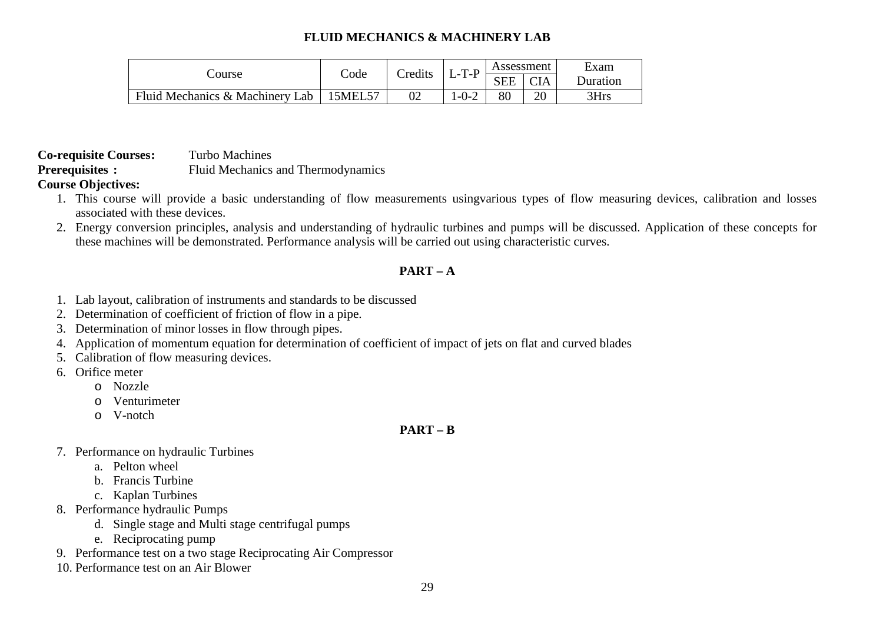# **FLUID MECHANICS & MACHINERY LAB**

| Course                          | Code               | Credits | .T.P<br>$\overline{\phantom{0}}$ | Assessment |                 | Exam            |
|---------------------------------|--------------------|---------|----------------------------------|------------|-----------------|-----------------|
|                                 |                    |         |                                  | <b>SEE</b> | $\cap I \Delta$ | <b>Duration</b> |
| Fluid Mechanics & Machinery Lab | 15MEL <sub>2</sub> | 02      | $1 - 0 - 2$                      | 80         | ററ              | 3Hrs            |

**Co-requisite Courses:** Turbo Machines **Prerequisites :** Fluid Mechanics and Thermodynamics

# **Course Objectives:**

- 1. This course will provide a basic understanding of flow measurements usingvarious types of flow measuring devices, calibration and losses associated with these devices.
- 2. Energy conversion principles, analysis and understanding of hydraulic turbines and pumps will be discussed. Application of these concepts for these machines will be demonstrated. Performance analysis will be carried out using characteristic curves.

# **PART – A**

- 1. Lab layout, calibration of instruments and standards to be discussed
- 2. Determination of coefficient of friction of flow in a pipe.
- 3. Determination of minor losses in flow through pipes.
- 4. Application of momentum equation for determination of coefficient of impact of jets on flat and curved blades
- 5. Calibration of flow measuring devices.
- 6. Orifice meter
	- o Nozzle
	- o Venturimeter
	- o V-notch

# **PART – B**

- 7. Performance on hydraulic Turbines
	- a. Pelton wheel
	- b. Francis Turbine
	- c. Kaplan Turbines
- 8. Performance hydraulic Pumps
	- d. Single stage and Multi stage centrifugal pumps
	- e. Reciprocating pump
- 9. Performance test on a two stage Reciprocating Air Compressor
- 10. Performance test on an Air Blower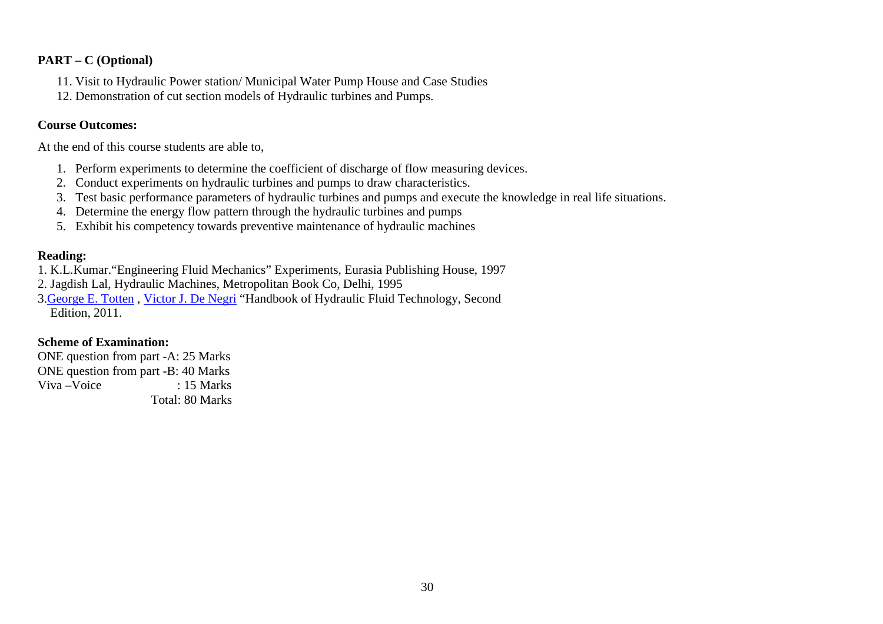#### **PART – C (Optional)**

- 11. Visit to Hydraulic Power station/ Municipal Water Pump House and Case Studies
- 12. Demonstration of cut section models of Hydraulic turbines and Pumps.

#### **Course Outcomes:**

At the end of this course students are able to,

- 1. Perform experiments to determine the coefficient of discharge of flow measuring devices.
- 2. Conduct experiments on hydraulic turbines and pumps to draw characteristics.
- 3. Test basic performance parameters of hydraulic turbines and pumps and execute the knowledge in real life situations.
- 4. Determine the energy flow pattern through the hydraulic turbines and pumps
- 5. Exhibit his competency towards preventive maintenance of hydraulic machines

#### **Reading:**

- 1. K.L.Kumar."Engineering Fluid Mechanics" Experiments, Eurasia Publishing House, 1997
- 2. Jagdish Lal, Hydraulic Machines, Metropolitan Book Co, Delhi, 1995
- 3. George E. Totten, Victor J. De Negri "Handbook of Hydraulic Fluid Technology, Second Edition, 2011.

#### **Scheme of Examination:**

 ONE question from part -A: 25 Marks ONE question from part -B: 40 Marks Viva – Voice : 15 Marks Total: 80 Marks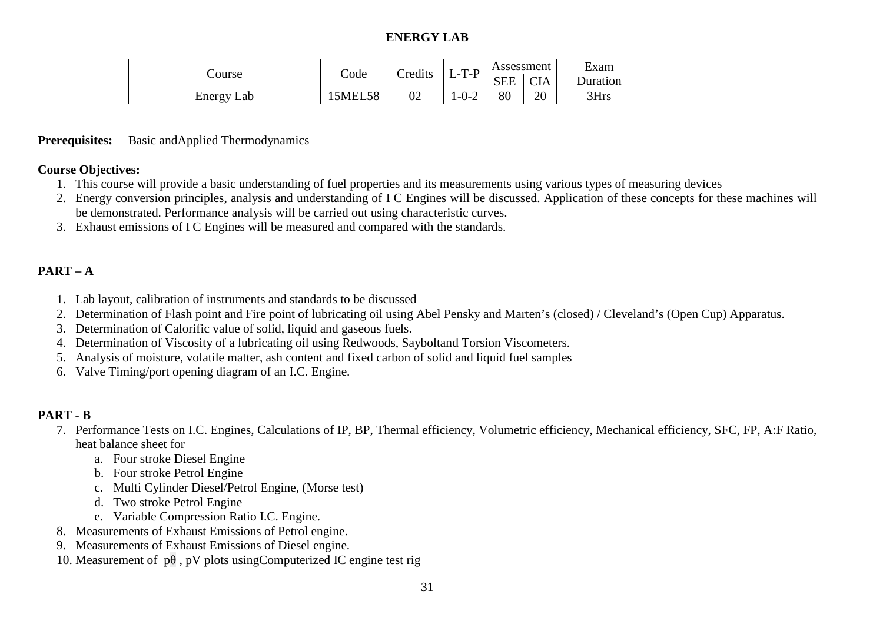# **ENERGY LAB**

| Course        | Code          | Credits | T-P<br>-L- 1 | Assessment |            | Exam            |
|---------------|---------------|---------|--------------|------------|------------|-----------------|
|               |               |         |              | <b>SEE</b> | <b>CIA</b> | <b>Duration</b> |
| Energy<br>Lab | <b>5MEL58</b> | 02      | $-0-2$       | 80         | n<br>∠∪    | 3Hrs            |

#### **Prerequisites:** Basic andApplied Thermodynamics

#### **Course Objectives:**

- 1. This course will provide a basic understanding of fuel properties and its measurements using various types of measuring devices
- 2. Energy conversion principles, analysis and understanding of I C Engines will be discussed. Application of these concepts for these machines will be demonstrated. Performance analysis will be carried out using characteristic curves.
- 3. Exhaust emissions of I C Engines will be measured and compared with the standards.

# **PART – A**

- 1. Lab layout, calibration of instruments and standards to be discussed
- 2. Determination of Flash point and Fire point of lubricating oil using Abel Pensky and Marten's (closed) / Cleveland's (Open Cup) Apparatus.
- 3. Determination of Calorific value of solid, liquid and gaseous fuels.
- 4. Determination of Viscosity of a lubricating oil using Redwoods, Sayboltand Torsion Viscometers.
- 5. Analysis of moisture, volatile matter, ash content and fixed carbon of solid and liquid fuel samples
- 6. Valve Timing/port opening diagram of an I.C. Engine.

# **PART - B**

- 7. Performance Tests on I.C. Engines, Calculations of IP, BP, Thermal efficiency, Volumetric efficiency, Mechanical efficiency, SFC, FP, A:F Ratio, heat balance sheet for
	- a. Four stroke Diesel Engine
	- b. Four stroke Petrol Engine
	- c. Multi Cylinder Diesel/Petrol Engine, (Morse test)
	- d. Two stroke Petrol Engine
	- e. Variable Compression Ratio I.C. Engine.
- 8. Measurements of Exhaust Emissions of Petrol engine.
- 9. Measurements of Exhaust Emissions of Diesel engine.
- 10. Measurement of  $p\theta$ , pV plots using Computerized IC engine test rig